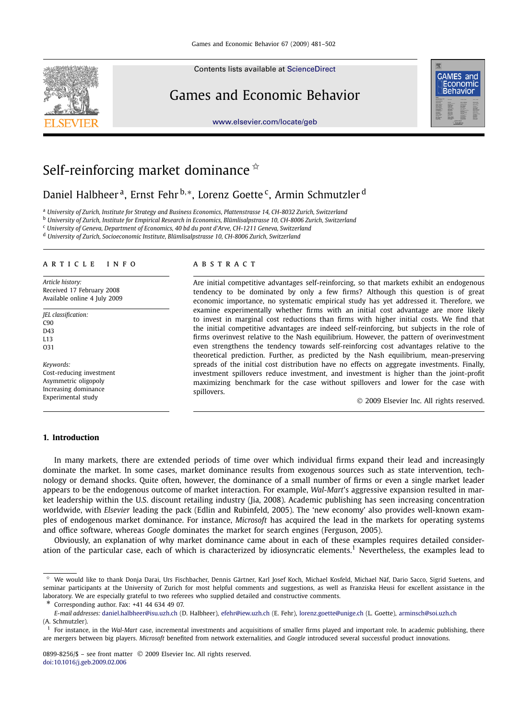Contents lists available at [ScienceDirect](http://www.ScienceDirect.com/)

# Games and Economic Behavior

[www.elsevier.com/locate/geb](http://www.elsevier.com/locate/geb)



# Self-reinforcing market dominance  $\dot{\alpha}$

Daniel Halbheer<sup>a</sup>, Ernst Fehr<sup>b,∗</sup>, Lorenz Goette<sup>c</sup>, Armin Schmutzler<sup>d</sup>

<sup>a</sup> *University of Zurich, Institute for Strategy and Business Economics, Plattenstrasse 14, CH-8032 Zurich, Switzerland*

<sup>b</sup> *University of Zurich, Institute for Empirical Research in Economics, Blümlisalpstrasse 10, CH-8006 Zurich, Switzerland*

<sup>c</sup> *University of Geneva, Department of Economics, 40 bd du pont d'Arve, CH-1211 Geneva, Switzerland*

<sup>d</sup> *University of Zurich, Socioeconomic Institute, Blümlisalpstrasse 10, CH-8006 Zurich, Switzerland*

#### article info abstract

*Article history:* Received 17 February 2008 Available online 4 July 2009

*JEL classification:* C<sub>90</sub> D43 L13 O31

*Keywords:* Cost-reducing investment Asymmetric oligopoly Increasing dominance Experimental study

Are initial competitive advantages self-reinforcing, so that markets exhibit an endogenous tendency to be dominated by only a few firms? Although this question is of great economic importance, no systematic empirical study has yet addressed it. Therefore, we examine experimentally whether firms with an initial cost advantage are more likely to invest in marginal cost reductions than firms with higher initial costs. We find that the initial competitive advantages are indeed self-reinforcing, but subjects in the role of firms overinvest relative to the Nash equilibrium. However, the pattern of overinvestment even strengthens the tendency towards self-reinforcing cost advantages relative to the theoretical prediction. Further, as predicted by the Nash equilibrium, mean-preserving spreads of the initial cost distribution have no effects on aggregate investments. Finally, investment spillovers reduce investment, and investment is higher than the joint-profit maximizing benchmark for the case without spillovers and lower for the case with spillovers.

© 2009 Elsevier Inc. All rights reserved.

#### **1. Introduction**

In many markets, there are extended periods of time over which individual firms expand their lead and increasingly dominate the market. In some cases, market dominance results from exogenous sources such as state intervention, technology or demand shocks. Quite often, however, the dominance of a small number of firms or even a single market leader appears to be the endogenous outcome of market interaction. For example, *Wal-Mart*'s aggressive expansion resulted in market leadership within the U.S. discount retailing industry (Jia, 2008). Academic publishing has seen increasing concentration worldwide, with *Elsevier* leading the pack (Edlin and Rubinfeld, 2005). The 'new economy' also provides well-known examples of endogenous market dominance. For instance, *Microsoft* has acquired the lead in the markets for operating systems and office software, whereas *Google* dominates the market for search engines (Ferguson, 2005).

Obviously, an explanation of why market dominance came about in each of these examples requires detailed consideration of the particular case, each of which is characterized by idiosyncratic elements.<sup>1</sup> Nevertheless, the examples lead to

Corresponding author. Fax:  $+41$  44 634 49 07.

 $*$  We would like to thank Donja Darai, Urs Fischbacher, Dennis Gärtner, Karl Josef Koch, Michael Kosfeld, Michael Näf, Dario Sacco, Sigrid Suetens, and seminar participants at the University of Zurich for most helpful comments and suggestions, as well as Franziska Heusi for excellent assistance in the laboratory. We are especially grateful to two referees who supplied detailed and constructive comments.

*E-mail addresses:* [daniel.halbheer@isu.uzh.ch](mailto:daniel.halbheer@isu.uzh.ch) (D. Halbheer), [efehr@iew.uzh.ch](mailto:efehr@iew.uzh.ch) (E. Fehr), [lorenz.goette@unige.ch](mailto:lorenz.goette@unige.ch) (L. Goette), [arminsch@soi.uzh.ch](mailto:arminsch@soi.uzh.ch) (A. Schmutzler).

<sup>1</sup> For instance, in the *Wal-Mart* case, incremental investments and acquisitions of smaller firms played and important role. In academic publishing, there are mergers between big players. *Microsoft* benefited from network externalities, and *Google* introduced several successful product innovations.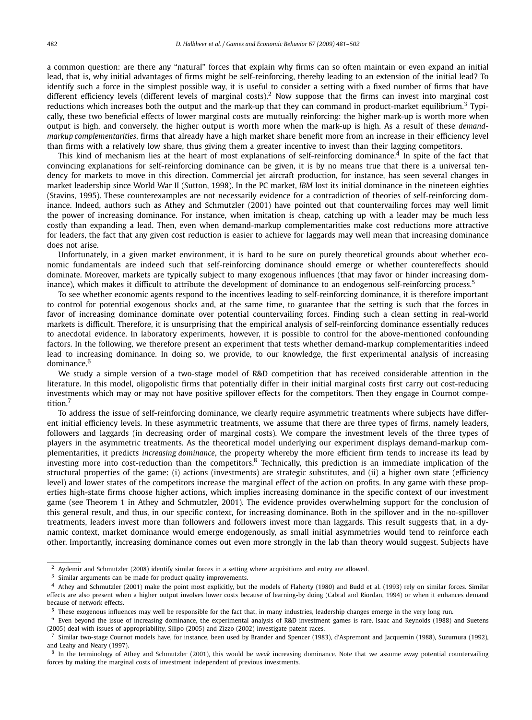a common question: are there any "natural" forces that explain why firms can so often maintain or even expand an initial lead, that is, why initial advantages of firms might be self-reinforcing, thereby leading to an extension of the initial lead? To identify such a force in the simplest possible way, it is useful to consider a setting with a fixed number of firms that have different efficiency levels (different levels of marginal costs).<sup>2</sup> Now suppose that the firms can invest into marginal cost reductions which increases both the output and the mark-up that they can command in product-market equilibrium.<sup>3</sup> Typically, these two beneficial effects of lower marginal costs are mutually reinforcing: the higher mark-up is worth more when output is high, and conversely, the higher output is worth more when the mark-up is high. As a result of these *demandmarkup complementarities*, firms that already have a high market share benefit more from an increase in their efficiency level than firms with a relatively low share, thus giving them a greater incentive to invest than their lagging competitors.

This kind of mechanism lies at the heart of most explanations of self-reinforcing dominance.<sup>4</sup> In spite of the fact that convincing explanations for self-reinforcing dominance can be given, it is by no means true that there is a universal tendency for markets to move in this direction. Commercial jet aircraft production, for instance, has seen several changes in market leadership since World War II (Sutton, 1998). In the PC market, *IBM* lost its initial dominance in the nineteen eighties (Stavins, 1995). These counterexamples are not necessarily evidence for a contradiction of theories of self-reinforcing dominance. Indeed, authors such as Athey and Schmutzler (2001) have pointed out that countervailing forces may well limit the power of increasing dominance. For instance, when imitation is cheap, catching up with a leader may be much less costly than expanding a lead. Then, even when demand-markup complementarities make cost reductions more attractive for leaders, the fact that any given cost reduction is easier to achieve for laggards may well mean that increasing dominance does not arise.

Unfortunately, in a given market environment, it is hard to be sure on purely theoretical grounds about whether economic fundamentals are indeed such that self-reinforcing dominance should emerge or whether countereffects should dominate. Moreover, markets are typically subject to many exogenous influences (that may favor or hinder increasing dominance), which makes it difficult to attribute the development of dominance to an endogenous self-reinforcing process.<sup>5</sup>

To see whether economic agents respond to the incentives leading to self-reinforcing dominance, it is therefore important to control for potential exogenous shocks and, at the same time, to guarantee that the setting is such that the forces in favor of increasing dominance dominate over potential countervailing forces. Finding such a clean setting in real-world markets is difficult. Therefore, it is unsurprising that the empirical analysis of self-reinforcing dominance essentially reduces to anecdotal evidence. In laboratory experiments, however, it is possible to control for the above-mentioned confounding factors. In the following, we therefore present an experiment that tests whether demand-markup complementarities indeed lead to increasing dominance. In doing so, we provide, to our knowledge, the first experimental analysis of increasing dominance.6

We study a simple version of a two-stage model of R&D competition that has received considerable attention in the literature. In this model, oligopolistic firms that potentially differ in their initial marginal costs first carry out cost-reducing investments which may or may not have positive spillover effects for the competitors. Then they engage in Cournot competition.<sup>7</sup>

To address the issue of self-reinforcing dominance, we clearly require asymmetric treatments where subjects have different initial efficiency levels. In these asymmetric treatments, we assume that there are three types of firms, namely leaders, followers and laggards (in decreasing order of marginal costs). We compare the investment levels of the three types of players in the asymmetric treatments. As the theoretical model underlying our experiment displays demand-markup complementarities, it predicts *increasing dominance*, the property whereby the more efficient firm tends to increase its lead by investing more into cost-reduction than the competitors.<sup>8</sup> Technically, this prediction is an immediate implication of the structural properties of the game: (i) actions (investments) are strategic substitutes, and (ii) a higher own state (efficiency level) and lower states of the competitors increase the marginal effect of the action on profits. In any game with these properties high-state firms choose higher actions, which implies increasing dominance in the specific context of our investment game (see Theorem 1 in Athey and Schmutzler, 2001). The evidence provides overwhelming support for the conclusion of this general result, and thus, in our specific context, for increasing dominance. Both in the spillover and in the no-spillover treatments, leaders invest more than followers and followers invest more than laggards. This result suggests that, in a dynamic context, market dominance would emerge endogenously, as small initial asymmetries would tend to reinforce each other. Importantly, increasing dominance comes out even more strongly in the lab than theory would suggest. Subjects have

<sup>&</sup>lt;sup>2</sup> Aydemir and Schmutzler (2008) identify similar forces in a setting where acquisitions and entry are allowed.<br> $\frac{3}{2}$  Similar arguments can be mode for product quality improvements

<sup>3</sup> Similar arguments can be made for product quality improvements.

<sup>4</sup> Athey and Schmutzler (2001) make the point most explicitly, but the models of Flaherty (1980) and Budd et al. (1993) rely on similar forces. Similar effects are also present when a higher output involves lower costs because of learning-by doing (Cabral and Riordan, 1994) or when it enhances demand because of network effects.

 $5$  These exogenous influences may well be responsible for the fact that, in many industries, leadership changes emerge in the very long run.

 $6$  Even beyond the issue of increasing dominance, the experimental analysis of R&D investment games is rare. Isaac and Reynolds (1988) and Suetens (2005) deal with issues of appropriability, Silipo (2005) and Zizzo (2002) investigate patent races.

 $^7$  Similar two-stage Cournot models have, for instance, been used by Brander and Spencer (1983), d'Aspremont and Jacquemin (1988), Suzumura (1992), and Leahy and Neary (1997).

<sup>8</sup> In the terminology of Athey and Schmutzler (2001), this would be *weak* increasing dominance. Note that we assume away potential countervailing forces by making the marginal costs of investment independent of previous investments.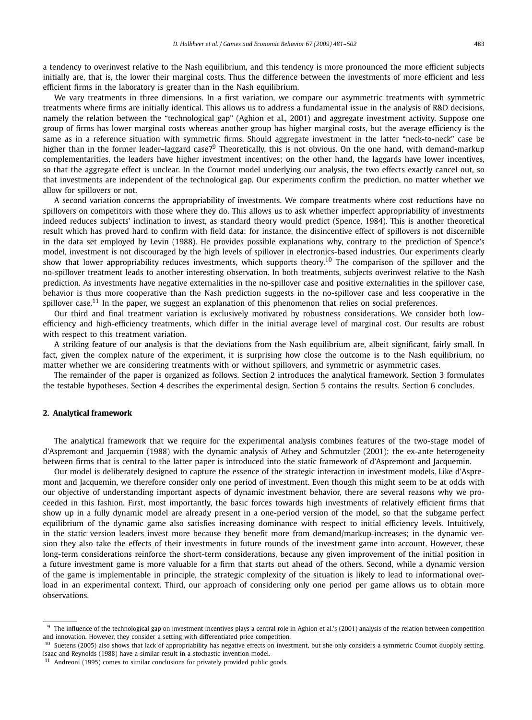a tendency to overinvest relative to the Nash equilibrium, and this tendency is more pronounced the more efficient subjects initially are, that is, the lower their marginal costs. Thus the difference between the investments of more efficient and less efficient firms in the laboratory is greater than in the Nash equilibrium.

We vary treatments in three dimensions. In a first variation, we compare our asymmetric treatments with symmetric treatments where firms are initially identical. This allows us to address a fundamental issue in the analysis of R&D decisions, namely the relation between the "technological gap" (Aghion et al., 2001) and aggregate investment activity. Suppose one group of firms has lower marginal costs whereas another group has higher marginal costs, but the average efficiency is the same as in a reference situation with symmetric firms. Should aggregate investment in the latter "neck-to-neck" case be higher than in the former leader–laggard case?<sup>9</sup> Theoretically, this is not obvious. On the one hand, with demand-markup complementarities, the leaders have higher investment incentives; on the other hand, the laggards have lower incentives, so that the aggregate effect is unclear. In the Cournot model underlying our analysis, the two effects exactly cancel out, so that investments are independent of the technological gap. Our experiments confirm the prediction, no matter whether we allow for spillovers or not.

A second variation concerns the appropriability of investments. We compare treatments where cost reductions have no spillovers on competitors with those where they do. This allows us to ask whether imperfect appropriability of investments indeed reduces subjects' inclination to invest, as standard theory would predict (Spence, 1984). This is another theoretical result which has proved hard to confirm with field data: for instance, the disincentive effect of spillovers is not discernible in the data set employed by Levin (1988). He provides possible explanations why, contrary to the prediction of Spence's model, investment is not discouraged by the high levels of spillover in electronics-based industries. Our experiments clearly show that lower appropriability reduces investments, which supports theory.10 The comparison of the spillover and the no-spillover treatment leads to another interesting observation. In both treatments, subjects overinvest relative to the Nash prediction. As investments have negative externalities in the no-spillover case and positive externalities in the spillover case, behavior is thus more cooperative than the Nash prediction suggests in the no-spillover case and less cooperative in the spillover case.<sup>11</sup> In the paper, we suggest an explanation of this phenomenon that relies on social preferences.

Our third and final treatment variation is exclusively motivated by robustness considerations. We consider both lowefficiency and high-efficiency treatments, which differ in the initial average level of marginal cost. Our results are robust with respect to this treatment variation.

A striking feature of our analysis is that the deviations from the Nash equilibrium are, albeit significant, fairly small. In fact, given the complex nature of the experiment, it is surprising how close the outcome is to the Nash equilibrium, no matter whether we are considering treatments with or without spillovers, and symmetric or asymmetric cases.

The remainder of the paper is organized as follows. Section 2 introduces the analytical framework. Section 3 formulates the testable hypotheses. Section 4 describes the experimental design. Section 5 contains the results. Section 6 concludes.

#### **2. Analytical framework**

The analytical framework that we require for the experimental analysis combines features of the two-stage model of d'Aspremont and Jacquemin (1988) with the dynamic analysis of Athey and Schmutzler (2001): the ex-ante heterogeneity between firms that is central to the latter paper is introduced into the static framework of d'Aspremont and Jacquemin.

Our model is deliberately designed to capture the essence of the strategic interaction in investment models. Like d'Aspremont and Jacquemin, we therefore consider only one period of investment. Even though this might seem to be at odds with our objective of understanding important aspects of dynamic investment behavior, there are several reasons why we proceeded in this fashion. First, most importantly, the basic forces towards high investments of relatively efficient firms that show up in a fully dynamic model are already present in a one-period version of the model, so that the subgame perfect equilibrium of the dynamic game also satisfies increasing dominance with respect to initial efficiency levels. Intuitively, in the static version leaders invest more because they benefit more from demand/markup-increases; in the dynamic version they also take the effects of their investments in future rounds of the investment game into account. However, these long-term considerations reinforce the short-term considerations, because any given improvement of the initial position in a future investment game is more valuable for a firm that starts out ahead of the others. Second, while a dynamic version of the game is implementable in principle, the strategic complexity of the situation is likely to lead to informational overload in an experimental context. Third, our approach of considering only one period per game allows us to obtain more observations.

<sup>&</sup>lt;sup>9</sup> The influence of the technological gap on investment incentives plays a central role in Aghion et al.'s (2001) analysis of the relation between competition and innovation. However, they consider a setting with differentiated price competition.

<sup>&</sup>lt;sup>10</sup> Suetens (2005) also shows that lack of appropriability has negative effects on investment, but she only considers a symmetric Cournot duopoly setting. Isaac and Reynolds (1988) have a similar result in a stochastic invention model.

<sup>&</sup>lt;sup>11</sup> Andreoni (1995) comes to similar conclusions for privately provided public goods.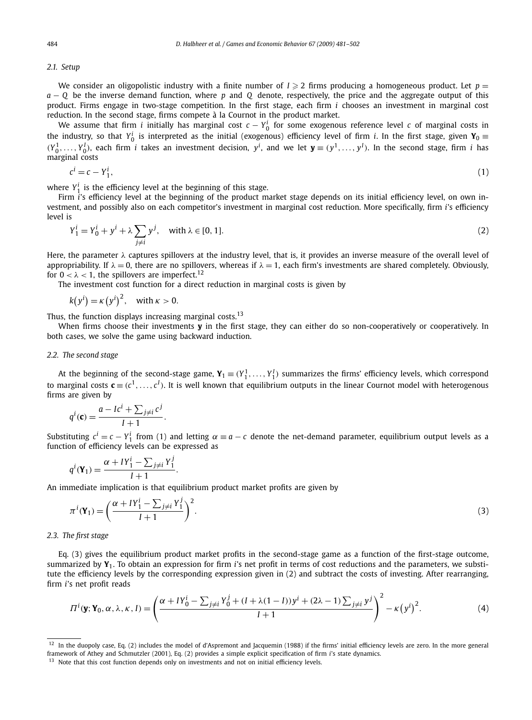*2.1. Setup*

We consider an oligopolistic industry with a finite number of  $I \geqslant 2$  firms producing a homogeneous product. Let  $p =$ *a* − *Q* be the inverse demand function, where *p* and *Q* denote, respectively, the price and the aggregate output of this product. Firms engage in two-stage competition. In the first stage, each firm *i* chooses an investment in marginal cost reduction. In the second stage, firms compete à la Cournot in the product market.

We assume that firm *i* initially has marginal cost  $c - Y_0^i$  for some exogenous reference level *c* of marginal costs in the industry, so that  $Y_0^i$  is interpreted as the initial (exogenous) efficiency level of firm *i*. In the first stage, given  $Y_0 =$  $(Y_0^1, \ldots, Y_0^l)$ , each firm *i* takes an investment decision,  $y^i$ , and we let  $\mathbf{y} \equiv (y^1, \ldots, y^l)$ . In the second stage, firm *i* has marginal costs

$$
c^i = c - Y_1^i,\tag{1}
$$

where  $Y_1^i$  is the efficiency level at the beginning of this stage.

Firm *i*'s efficiency level at the beginning of the product market stage depends on its initial efficiency level, on own investment, and possibly also on each competitor's investment in marginal cost reduction. More specifically, firm *i*'s efficiency level is

$$
Y_1^i = Y_0^i + y^i + \lambda \sum_{j \neq i} y^j, \quad \text{with } \lambda \in [0, 1]. \tag{2}
$$

Here, the parameter *λ* captures spillovers at the industry level, that is, it provides an inverse measure of the overall level of appropriability. If  $\lambda = 0$ , there are no spillovers, whereas if  $\lambda = 1$ , each firm's investments are shared completely. Obviously, for  $0 < \lambda < 1$ , the spillovers are imperfect.<sup>12</sup>

The investment cost function for a direct reduction in marginal costs is given by

$$
k(yi) = \kappa (yi)2, \text{ with } \kappa > 0.
$$

Thus, the function displays increasing marginal costs. $13$ 

When firms choose their investments **y** in the first stage, they can either do so non-cooperatively or cooperatively. In both cases, we solve the game using backward induction.

#### *2.2. The second stage*

At the beginning of the second-stage game,  $Y_1 \equiv (Y_1^1, \ldots, Y_1^l)$  summarizes the firms' efficiency levels, which correspond to marginal costs  $\mathbf{c} \equiv (c^1, \ldots, c^l)$ . It is well known that equilibrium outputs in the linear Cournot model with heterogenous firms are given by

$$
q^{i}(\mathbf{c}) = \frac{a - I c^{i} + \sum_{j \neq i} c^{j}}{I + 1}.
$$

Substituting  $c^i = c - Y_1^i$  from (1) and letting  $\alpha \equiv a - c$  denote the net-demand parameter, equilibrium output levels as a function of efficiency levels can be expressed as

$$
q^{i}(\mathbf{Y}_{1}) = \frac{\alpha + IV_{1}^{i} - \sum_{j \neq i} Y_{1}^{j}}{I + 1}.
$$

An immediate implication is that equilibrium product market profits are given by

$$
\pi^{i}(\mathbf{Y}_{1}) = \left(\frac{\alpha + IV_{1}^{i} - \sum_{j \neq i} V_{1}^{j}}{I + 1}\right)^{2}.
$$
\n(3)

# *2.3. The first stage*

Eq. (3) gives the equilibrium product market profits in the second-stage game as a function of the first-stage outcome, summarized by **Y**1. To obtain an expression for firm *i*'s net profit in terms of cost reductions and the parameters, we substitute the efficiency levels by the corresponding expression given in (2) and subtract the costs of investing. After rearranging, firm *i*'s net profit reads

$$
\Pi^{i}(\mathbf{y}; \mathbf{Y}_{0}, \alpha, \lambda, \kappa, I) = \left(\frac{\alpha + IY_{0}^{i} - \sum_{j \neq i} Y_{0}^{j} + (I + \lambda(1 - I))Y^{i} + (2\lambda - 1)\sum_{j \neq i} Y^{j}}{I + 1}\right)^{2} - \kappa (Y^{i})^{2}.
$$
\n(4)

<sup>&</sup>lt;sup>12</sup> In the duopoly case, Eq. (2) includes the model of d'Aspremont and Jacquemin (1988) if the firms' initial efficiency levels are zero. In the more general framework of Athey and Schmutzler (2001), Eq. (2) provides a simple explicit specification of firm *i*'s state dynamics.

<sup>&</sup>lt;sup>13</sup> Note that this cost function depends only on investments and not on initial efficiency levels.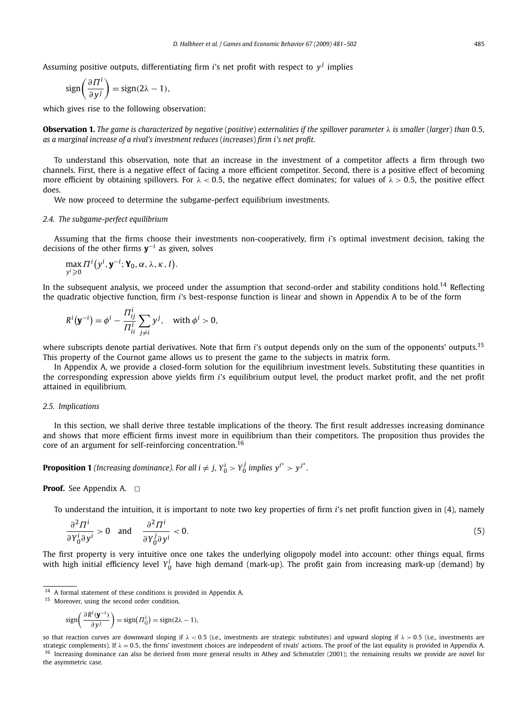Assuming positive outputs, differentiating firm *i*'s net profit with respect to  $y<sup>j</sup>$  implies

$$
\text{sign}\left(\frac{\partial \Pi^i}{\partial y^j}\right) = \text{sign}(2\lambda - 1),
$$

which gives rise to the following observation:

**Observation 1.** The game is characterized by negative (positive) externalities if the spillover parameter  $\lambda$  is smaller (larger) than 0.5, *as a marginal increase of a rival's investment reduces* (*increases*) *firm i's net profit.*

To understand this observation, note that an increase in the investment of a competitor affects a firm through two channels. First, there is a negative effect of facing a more efficient competitor. Second, there is a positive effect of becoming more efficient by obtaining spillovers. For *λ <* 0*.*5, the negative effect dominates; for values of *λ >* 0*.*5, the positive effect does.

We now proceed to determine the subgame-perfect equilibrium investments.

#### *2.4. The subgame-perfect equilibrium*

Assuming that the firms choose their investments non-cooperatively, firm *i*'s optimal investment decision, taking the decisions of the other firms **y**−*<sup>i</sup>* as given, solves

$$
\max_{y^i\geqslant 0} \Pi^i(y^i, \mathbf{y}^{-i}; \mathbf{Y}_0, \alpha, \lambda, \kappa, I).
$$

In the subsequent analysis, we proceed under the assumption that second-order and stability conditions hold.<sup>14</sup> Reflecting the quadratic objective function, firm *i*'s best-response function is linear and shown in Appendix A to be of the form

$$
R^{i}(\mathbf{y}^{-i}) = \phi^{i} - \frac{\Pi_{ij}^{i}}{\Pi_{ii}^{i}} \sum_{j \neq i} y^{j}, \quad \text{with } \phi^{i} > 0,
$$

where subscripts denote partial derivatives. Note that firm *i*'s output depends only on the sum of the opponents' outputs.<sup>15</sup> This property of the Cournot game allows us to present the game to the subjects in matrix form.

In Appendix A, we provide a closed-form solution for the equilibrium investment levels. Substituting these quantities in the corresponding expression above yields firm *i*'s equilibrium output level, the product market profit, and the net profit attained in equilibrium.

#### *2.5. Implications*

In this section, we shall derive three testable implications of the theory. The first result addresses increasing dominance and shows that more efficient firms invest more in equilibrium than their competitors. The proposition thus provides the core of an argument for self-reinforcing concentration.<sup>16</sup>

**Proposition 1** (Increasing dominance). For all  $i \neq j$ ,  $Y_0^i > Y_0^j$  implies  $y^{i^*} > y^{j^*}$ .

## **Proof.** See Appendix A. □

To understand the intuition, it is important to note two key properties of firm *i*'s net profit function given in (4), namely

$$
\frac{\partial^2 \Pi^i}{\partial Y_0^i \partial y^i} > 0 \quad \text{and} \quad \frac{\partial^2 \Pi^i}{\partial Y_0^j \partial y^i} < 0. \tag{5}
$$

The first property is very intuitive once one takes the underlying oligopoly model into account: other things equal, firms with high initial efficiency level  $Y^i_0$  have high demand (mark-up). The profit gain from increasing mark-up (demand) by

$$
\operatorname{sign}\left(\frac{\partial R^i(\mathbf{y}^{-i})}{\partial y^j}\right) = \operatorname{sign}(T_{ij}^i) = \operatorname{sign}(2\lambda - 1),
$$

<sup>14</sup> A formal statement of these conditions is provided in Appendix A.

<sup>15</sup> Moreover, using the second order condition,

so that reaction curves are downward sloping if *λ <* 0*.*5 (i.e., investments are strategic substitutes) and upward sloping if *λ >* 0*.*5 (i.e., investments are strategic complements). If *λ* = 0*.*5, the firms' investment choices are independent of rivals' actions. The proof of the last equality is provided in Appendix A. <sup>16</sup> Increasing dominance can also be derived from more general results in Athey and Schmutzler (2001); the remaining results we provide are novel for the asymmetric case.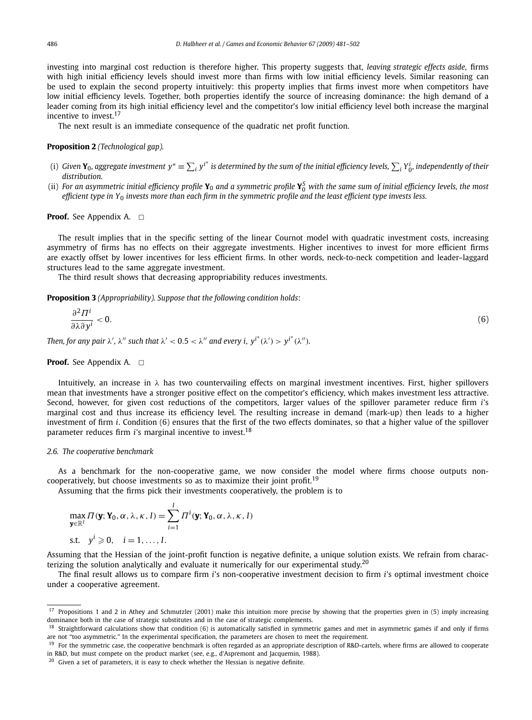investing into marginal cost reduction is therefore higher. This property suggests that, *leaving strategic effects aside*, firms with high initial efficiency levels should invest more than firms with low initial efficiency levels. Similar reasoning can be used to explain the second property intuitively: this property implies that firms invest more when competitors have low initial efficiency levels. Together, both properties identify the source of increasing dominance: the high demand of a leader coming from its high initial efficiency level and the competitor's low initial efficiency level both increase the marginal incentive to invest.<sup>17</sup>

The next result is an immediate consequence of the quadratic net profit function.

## **Proposition 2** *(Technological gap).*

- (i) Given  $\mathbf{Y}_0$ , aggregate investment  $y^* \equiv \sum_i y^{i^*}$  is determined by the sum of the initial efficiency levels,  $\sum_i Y^i_0$ , independently of their *distribution.*
- (ii) *For an asymmetric initial efficiency profile* **Y**<sup>0</sup> *and a symmetric profile* **Y***<sup>S</sup>* <sup>0</sup> *with the same sum of initial efficiency levels, the most efficient type in Y*<sup>0</sup> *invests more than each firm in the symmetric profile and the least efficient type invests less.*

**Proof.** See Appendix A. □

The result implies that in the specific setting of the linear Cournot model with quadratic investment costs, increasing asymmetry of firms has no effects on their aggregate investments. Higher incentives to invest for more efficient firms are exactly offset by lower incentives for less efficient firms. In other words, neck-to-neck competition and leader–laggard structures lead to the same aggregate investment.

The third result shows that decreasing appropriability reduces investments.

**Proposition 3** *(Appropriability). Suppose that the following condition holds*:

$$
\frac{\partial^2 \varPi^i}{\partial \lambda \partial y^i} < 0. \tag{6}
$$

*Then, for any pair*  $\lambda'$ *,*  $\lambda''$  *such that*  $\lambda' < 0.5 < \lambda''$  *and every i,*  $y^{i^*}(\lambda') > y^{i^*}(\lambda'').$ 

**Proof.** See Appendix A. □

Intuitively, an increase in *λ* has two countervailing effects on marginal investment incentives. First, higher spillovers mean that investments have a stronger positive effect on the competitor's efficiency, which makes investment less attractive. Second, however, for given cost reductions of the competitors, larger values of the spillover parameter reduce firm *i*'s marginal cost and thus increase its efficiency level. The resulting increase in demand (mark-up) then leads to a higher investment of firm *i*. Condition (6) ensures that the first of the two effects dominates, so that a higher value of the spillover parameter reduces firm *i*'s marginal incentive to invest.18

#### *2.6. The cooperative benchmark*

As a benchmark for the non-cooperative game, we now consider the model where firms choose outputs noncooperatively, but choose investments so as to maximize their joint profit.<sup>19</sup>

Assuming that the firms pick their investments cooperatively, the problem is to

$$
\max_{\mathbf{y} \in \mathbb{R}^I} \Pi(\mathbf{y}; \mathbf{Y}_0, \alpha, \lambda, \kappa, I) = \sum_{i=1}^I \Pi^i(\mathbf{y}; \mathbf{Y}_0, \alpha, \lambda, \kappa, I)
$$
  
s.t.  $y^i \ge 0, \quad i = 1, ..., I.$ 

Assuming that the Hessian of the joint-profit function is negative definite, a unique solution exists. We refrain from characterizing the solution analytically and evaluate it numerically for our experimental study.<sup>20</sup>

The final result allows us to compare firm *i*'s non-cooperative investment decision to firm *i*'s optimal investment choice under a cooperative agreement.

<sup>&</sup>lt;sup>17</sup> Propositions 1 and 2 in Athey and Schmutzler (2001) make this intuition more precise by showing that the properties given in (5) imply increasing dominance both in the case of strategic substitutes and in the case of strategic complements.

<sup>&</sup>lt;sup>18</sup> Straightforward calculations show that condition (6) is automatically satisfied in symmetric games and met in asymmetric games if and only if firms are not "too asymmetric." In the experimental specification, the parameters are chosen to meet the requirement.

<sup>&</sup>lt;sup>19</sup> For the symmetric case, the cooperative benchmark is often regarded as an appropriate description of R&D-cartels, where firms are allowed to cooperate in R&D, but must compete on the product market (see, e.g., d'Aspremont and Jacquemin, 1988).

 $20$  Given a set of parameters, it is easy to check whether the Hessian is negative definite.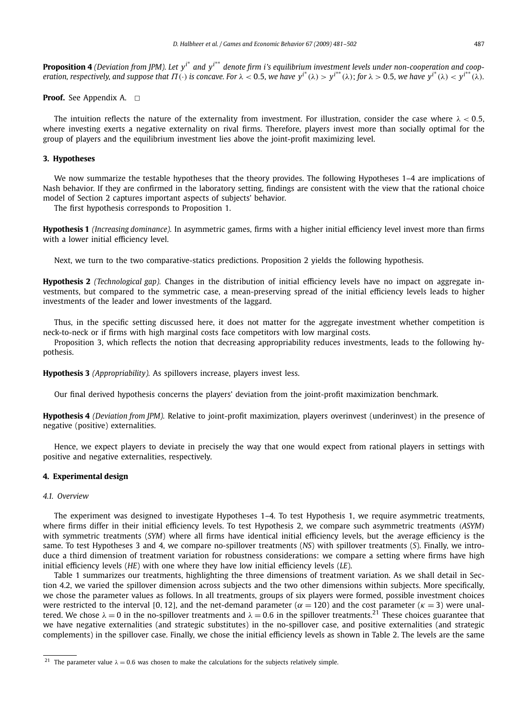**Proposition 4** (Deviation from JPM). Let y<sup>i\*</sup> and y<sup>i\*\*</sup> denote firm i's equilibrium investment levels under non-cooperation and cooperation, respectively, and suppose that  $\Pi(\cdot)$  is concave. For  $\lambda < 0.5$ , we have  $y^{i^*}(\lambda) > y^{i^{**}}(\lambda)$ ; for  $\lambda > 0.5$ , we have  $y^{i^*}(\lambda) < y^{i^{**}}(\lambda)$ .

**Proof.** See Appendix A.  $\Box$ 

The intuition reflects the nature of the externality from investment. For illustration, consider the case where *λ <* 0*.*5, where investing exerts a negative externality on rival firms. Therefore, players invest more than socially optimal for the group of players and the equilibrium investment lies above the joint-profit maximizing level.

## **3. Hypotheses**

We now summarize the testable hypotheses that the theory provides. The following Hypotheses 1–4 are implications of Nash behavior. If they are confirmed in the laboratory setting, findings are consistent with the view that the rational choice model of Section 2 captures important aspects of subjects' behavior.

The first hypothesis corresponds to Proposition 1.

**Hypothesis 1** *(Increasing dominance).* In asymmetric games, firms with a higher initial efficiency level invest more than firms with a lower initial efficiency level.

Next, we turn to the two comparative-statics predictions. Proposition 2 yields the following hypothesis.

**Hypothesis 2** *(Technological gap).* Changes in the distribution of initial efficiency levels have no impact on aggregate investments, but compared to the symmetric case, a mean-preserving spread of the initial efficiency levels leads to higher investments of the leader and lower investments of the laggard.

Thus, in the specific setting discussed here, it does not matter for the aggregate investment whether competition is neck-to-neck or if firms with high marginal costs face competitors with low marginal costs.

Proposition 3, which reflects the notion that decreasing appropriability reduces investments, leads to the following hypothesis.

**Hypothesis 3** *(Appropriability).* As spillovers increase, players invest less.

Our final derived hypothesis concerns the players' deviation from the joint-profit maximization benchmark.

**Hypothesis 4** *(Deviation from JPM).* Relative to joint-profit maximization, players overinvest (underinvest) in the presence of negative (positive) externalities.

Hence, we expect players to deviate in precisely the way that one would expect from rational players in settings with positive and negative externalities, respectively.

#### **4. Experimental design**

#### *4.1. Overview*

The experiment was designed to investigate Hypotheses 1–4. To test Hypothesis 1, we require asymmetric treatments, where firms differ in their initial efficiency levels. To test Hypothesis 2, we compare such asymmetric treatments *(ASYM)* with symmetric treatments (*SYM*) where all firms have identical initial efficiency levels, but the average efficiency is the same. To test Hypotheses 3 and 4, we compare no-spillover treatments (*NS*) with spillover treatments (*S*). Finally, we introduce a third dimension of treatment variation for robustness considerations: we compare a setting where firms have high initial efficiency levels (*HE*) with one where they have low initial efficiency levels (*LE*).

Table 1 summarizes our treatments, highlighting the three dimensions of treatment variation. As we shall detail in Section 4.2, we varied the spillover dimension across subjects and the two other dimensions within subjects. More specifically, we chose the parameter values as follows. In all treatments, groups of six players were formed, possible investment choices were restricted to the interval [0, 12], and the net-demand parameter ( $\alpha = 120$ ) and the cost parameter ( $\kappa = 3$ ) were unaltered. We chose  $\lambda = 0$  in the no-spillover treatments and  $\lambda = 0.6$  in the spillover treatments.<sup>21</sup> These choices guarantee that we have negative externalities (and strategic substitutes) in the no-spillover case, and positive externalities (and strategic complements) in the spillover case. Finally, we chose the initial efficiency levels as shown in Table 2. The levels are the same

<sup>&</sup>lt;sup>21</sup> The parameter value  $\lambda = 0.6$  was chosen to make the calculations for the subjects relatively simple.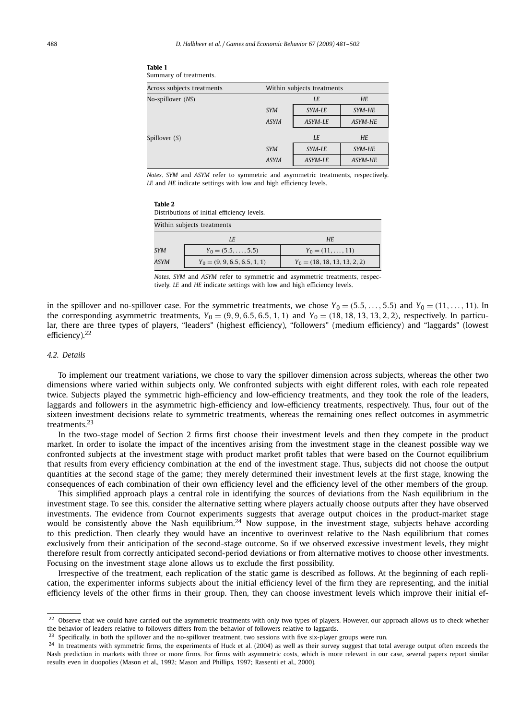| Across subjects treatments |             | Within subjects treatments |         |
|----------------------------|-------------|----------------------------|---------|
| No-spillover (NS)          |             | LE                         | HE      |
|                            | <b>SYM</b>  | SYM-LE                     | SYM-HE  |
|                            | <b>ASYM</b> | ASYM-LE                    | ASYM-HE |
| Spillover $(S)$            |             | LE                         | HE      |
|                            | <b>SYM</b>  | SYM-LE                     | SYM-HE  |
|                            | <b>ASYM</b> | ASYM-LE                    | ASYM-HE |

| iabie i |                        |
|---------|------------------------|
|         | Summary of treatments. |

*Notes*. *SYM* and *ASYM* refer to symmetric and asymmetric treatments, respectively. *LE* and *HE* indicate settings with low and high efficiency levels.

| Table 2                                     |  |
|---------------------------------------------|--|
| Distributions of initial efficiency levels. |  |
| Within subjects treatments                  |  |

|             | LF                             | <b>HE</b>                      |
|-------------|--------------------------------|--------------------------------|
| <b>SYM</b>  | $Y_0 = (5.5, \ldots, 5.5)$     | $Y_0 = (11, \ldots, 11)$       |
| <b>ASYM</b> | $Y_0 = (9, 9, 6.5, 6.5, 1, 1)$ | $Y_0 = (18, 18, 13, 13, 2, 2)$ |
|             |                                |                                |

*Notes*. *SYM* and *ASYM* refer to symmetric and asymmetric treatments, respectively. *LE* and *HE* indicate settings with low and high efficiency levels.

in the spillover and no-spillover case. For the symmetric treatments, we chose  $Y_0 = (5.5, \ldots, 5.5)$  and  $Y_0 = (11, \ldots, 11)$ . In the corresponding asymmetric treatments,  $Y_0 = (9, 9, 6.5, 6.5, 1, 1)$  and  $Y_0 = (18, 18, 13, 13, 2, 2)$ , respectively. In particular, there are three types of players, "leaders" (highest efficiency), "followers" (medium efficiency) and "laggards" (lowest efficiency).<sup>22</sup>

## *4.2. Details*

To implement our treatment variations, we chose to vary the spillover dimension across subjects, whereas the other two dimensions where varied within subjects only. We confronted subjects with eight different roles, with each role repeated twice. Subjects played the symmetric high-efficiency and low-efficiency treatments, and they took the role of the leaders, laggards and followers in the asymmetric high-efficiency and low-efficiency treatments, respectively. Thus, four out of the sixteen investment decisions relate to symmetric treatments, whereas the remaining ones reflect outcomes in asymmetric treatments.<sup>23</sup>

In the two-stage model of Section 2 firms first choose their investment levels and then they compete in the product market. In order to isolate the impact of the incentives arising from the investment stage in the cleanest possible way we confronted subjects at the investment stage with product market profit tables that were based on the Cournot equilibrium that results from every efficiency combination at the end of the investment stage. Thus, subjects did not choose the output quantities at the second stage of the game; they merely determined their investment levels at the first stage, knowing the consequences of each combination of their own efficiency level and the efficiency level of the other members of the group.

This simplified approach plays a central role in identifying the sources of deviations from the Nash equilibrium in the investment stage. To see this, consider the alternative setting where players actually choose outputs after they have observed investments. The evidence from Cournot experiments suggests that average output choices in the product-market stage would be consistently above the Nash equilibrium.<sup>24</sup> Now suppose, in the investment stage, subjects behave according to this prediction. Then clearly they would have an incentive to overinvest relative to the Nash equilibrium that comes exclusively from their anticipation of the second-stage outcome. So if we observed excessive investment levels, they might therefore result from correctly anticipated second-period deviations or from alternative motives to choose other investments. Focusing on the investment stage alone allows us to exclude the first possibility.

Irrespective of the treatment, each replication of the static game is described as follows. At the beginning of each replication, the experimenter informs subjects about the initial efficiency level of the firm they are representing, and the initial efficiency levels of the other firms in their group. Then, they can choose investment levels which improve their initial ef-

<sup>&</sup>lt;sup>22</sup> Observe that we could have carried out the asymmetric treatments with only two types of players. However, our approach allows us to check whether the behavior of leaders relative to followers differs from the behavior of followers relative to laggards.

 $23$  Specifically, in both the spillover and the no-spillover treatment, two sessions with five six-player groups were run.

 $24$  In treatments with symmetric firms, the experiments of Huck et al. (2004) as well as their survey suggest that total average output often exceeds the Nash prediction in markets with three or more firms. For firms with asymmetric costs, which is more relevant in our case, several papers report similar results even in duopolies (Mason et al., 1992; Mason and Phillips, 1997; Rassenti et al., 2000).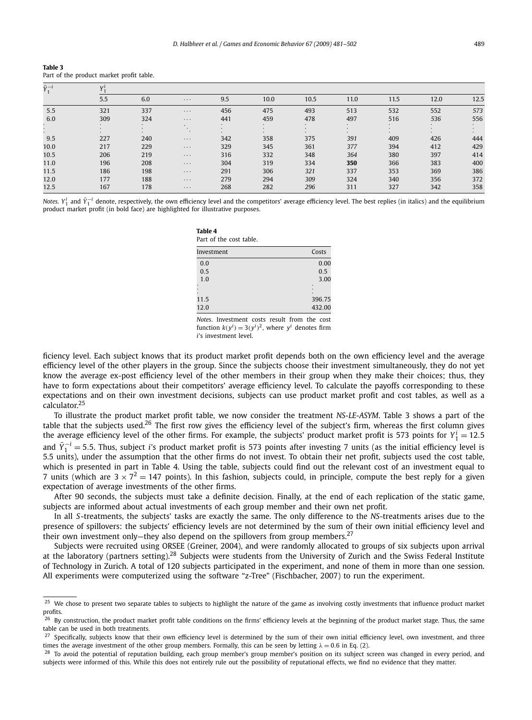| Table 3                                  |  |  |
|------------------------------------------|--|--|
| Part of the product market profit table. |  |  |

| $\bar{Y}_1^{-i}$ | $Y_1^i$ |        |                     |         |                     |                    |                         |        |           |                   |
|------------------|---------|--------|---------------------|---------|---------------------|--------------------|-------------------------|--------|-----------|-------------------|
|                  | 5.5     | 6.0    | $\cdots$            | 9.5     | 10.0                | 10.5               | 11.0                    | 11.5   | 12.0      | 12.5              |
| 5.5              | 321     | 337    | $\cdots$            | 456     | 475                 | 493                | 513                     | 532    | 552       | 573               |
| 6.0              | 309     | 324    | $\cdots$            | 441     | 459                 | 478                | 497                     | 516    | 536       | 556               |
|                  |         | $\sim$ | $\sim$<br>$\bullet$ | $\cdot$ | $\sim$<br>$\bullet$ | $\cdot$<br>$\cdot$ | $\cdot$<br>$\mathbf{r}$ | $\sim$ | $\bullet$ | $\sim$<br>$\cdot$ |
|                  |         |        | . .                 | $\sim$  | $\sim$              |                    |                         |        | $\cdot$   |                   |
| 9.5              | 227     | 240    | $\cdots$            | 342     | 358                 | 375                | 391                     | 409    | 426       | 444               |
| 10.0             | 217     | 229    | $\cdots$            | 329     | 345                 | 361                | 377                     | 394    | 412       | 429               |
| 10.5             | 206     | 219    | $\cdots$            | 316     | 332                 | 348                | 364                     | 380    | 397       | 414               |
| 11.0             | 196     | 208    | $\cdots$            | 304     | 319                 | 334                | 350                     | 366    | 383       | 400               |
| 11.5             | 186     | 198    | $\cdots$            | 291     | 306                 | 321                | 337                     | 353    | 369       | 386               |
| 12.0             | 177     | 188    | $\cdots$            | 279     | 294                 | 309                | 324                     | 340    | 356       | 372               |
| 12.5             | 167     | 178    | $\cdots$            | 268     | 282                 | 296                | 311                     | 327    | 342       | 358               |

*Notes.*  $Y_1^i$  and  $\bar{Y}_1^{-i}$  denote, respectively, the own efficiency level and the competitors' average efficiency level. The best replies (in italics) and the equilibrium product market profit (in bold face) are highlighted for illustrative purposes.

| <b>Table 4</b><br>Part of the cost table. |        |
|-------------------------------------------|--------|
| Investment                                | Costs  |
| 0.0                                       | 0.00   |
| 0.5                                       | 0.5    |
| 1.0                                       | 3.00   |
|                                           |        |
| 11.5                                      | 396.75 |
| 12.0                                      | 432.00 |

*Notes*. Investment costs result from the cost function  $k(y^i) = 3(y^i)^2$ , where  $y^i$  denotes firm *i*'s investment level.

ficiency level. Each subject knows that its product market profit depends both on the own efficiency level and the average efficiency level of the other players in the group. Since the subjects choose their investment simultaneously, they do not yet know the average ex-post efficiency level of the other members in their group when they make their choices; thus, they have to form expectations about their competitors' average efficiency level. To calculate the payoffs corresponding to these expectations and on their own investment decisions, subjects can use product market profit and cost tables, as well as a calculator.25

To illustrate the product market profit table, we now consider the treatment *NS-LE-ASYM*. Table 3 shows a part of the table that the subjects used.26 The first row gives the efficiency level of the subject's firm, whereas the first column gives the average efficiency level of the other firms. For example, the subjects' product market profit is 573 points for  $Y_1^i = 12.5$ and  $\bar{Y}_1^{-i}$  = 5.5. Thus, subject *i*'s product market profit is 573 points after investing 7 units (as the initial efficiency level is 5.5 units), under the assumption that the other firms do not invest. To obtain their net profit, subjects used the cost table, which is presented in part in Table 4. Using the table, subjects could find out the relevant cost of an investment equal to 7 units (which are  $3 \times 7^2 = 147$  points). In this fashion, subjects could, in principle, compute the best reply for a given expectation of average investments of the other firms.

After 90 seconds, the subjects must take a definite decision. Finally, at the end of each replication of the static game, subjects are informed about actual investments of each group member and their own net profit.

In all *S*-treatments, the subjects' tasks are exactly the same. The only difference to the *NS*-treatments arises due to the presence of spillovers: the subjects' efficiency levels are not determined by the sum of their own initial efficiency level and their own investment only-they also depend on the spillovers from group members.<sup>27</sup>

Subjects were recruited using ORSEE (Greiner, 2004), and were randomly allocated to groups of six subjects upon arrival at the laboratory (partners setting).<sup>28</sup> Subjects were students from the University of Zurich and the Swiss Federal Institute of Technology in Zurich. A total of 120 subjects participated in the experiment, and none of them in more than one session. All experiments were computerized using the software "z-Tree" (Fischbacher, 2007) to run the experiment.

<sup>&</sup>lt;sup>25</sup> We chose to present two separate tables to subjects to highlight the nature of the game as involving costly investments that influence product market profits.

 $^{26}$  By construction, the product market profit table conditions on the firms' efficiency levels at the beginning of the product market stage. Thus, the same table can be used in both treatments.

 $27$  Specifically, subjects know that their own efficiency level is determined by the sum of their own initial efficiency level, own investment, and three times the average investment of the other group members. Formally, this can be seen by letting  $\lambda = 0.6$  in Eq. (2).

<sup>&</sup>lt;sup>28</sup> To avoid the potential of reputation building, each group member's group member's position on its subject screen was changed in every period, and subjects were informed of this. While this does not entirely rule out the possibility of reputational effects, we find no evidence that they matter.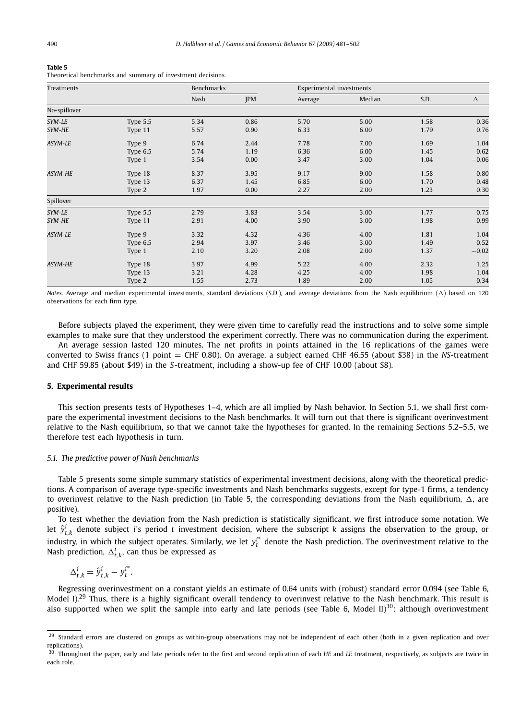Theoretical benchmarks and summary of investment decisions.

| Treatments   |            | Benchmarks |      |         | Experimental investments |      |         |  |
|--------------|------------|------------|------|---------|--------------------------|------|---------|--|
|              |            | Nash       | JPM  | Average | Median                   | S.D. | Δ       |  |
| No-spillover |            |            |      |         |                          |      |         |  |
| SYM-LE       | Type $5.5$ | 5.34       | 0.86 | 5.70    | 5.00                     | 1.58 | 0.36    |  |
| SYM-HE       | Type 11    | 5.57       | 0.90 | 6.33    | 6.00                     | 1.79 | 0.76    |  |
| ASYM-LE      | Type 9     | 6.74       | 2.44 | 7.78    | 7.00                     | 1.69 | 1.04    |  |
|              | Type 6.5   | 5.74       | 1.19 | 6.36    | 6.00                     | 1.45 | 0.62    |  |
|              | Type 1     | 3.54       | 0.00 | 3.47    | 3.00                     | 1.04 | $-0.06$ |  |
| ASYM-HE      | Type 18    | 8.37       | 3.95 | 9.17    | 9.00                     | 1.58 | 0.80    |  |
|              | Type 13    | 6.37       | 1.45 | 6.85    | 6.00                     | 1.70 | 0.48    |  |
|              | Type 2     | 1.97       | 0.00 | 2.27    | 2.00                     | 1.23 | 0.30    |  |
| Spillover    |            |            |      |         |                          |      |         |  |
| SYM-LE       | Type $5.5$ | 2.79       | 3.83 | 3.54    | 3.00                     | 1.77 | 0.75    |  |
| SYM-HE       | Type 11    | 2.91       | 4.00 | 3.90    | 3.00                     | 1.98 | 0.99    |  |
| ASYM-LE      | Type 9     | 3.32       | 4.32 | 4.36    | 4.00                     | 1.81 | 1.04    |  |
|              | Type 6.5   | 2.94       | 3.97 | 3.46    | 3.00                     | 1.49 | 0.52    |  |
|              | Type 1     | 2.10       | 3.20 | 2.08    | 2.00                     | 1.37 | $-0.02$ |  |
| ASYM-HE      | Type 18    | 3.97       | 4.99 | 5.22    | 4.00                     | 2.32 | 1.25    |  |
|              | Type 13    | 3.21       | 4.28 | 4.25    | 4.00                     | 1.98 | 1.04    |  |
|              | Type 2     | 1.55       | 2.73 | 1.89    | 2.00                     | 1.05 | 0.34    |  |

*Notes*. Average and median experimental investments, standard deviations (S.D.), and average deviations from the Nash equilibrium () based on 120 observations for each firm type.

Before subjects played the experiment, they were given time to carefully read the instructions and to solve some simple examples to make sure that they understood the experiment correctly. There was no communication during the experiment.

An average session lasted 120 minutes. The net profits in points attained in the 16 replications of the games were converted to Swiss francs (1 point = CHF 0.80). On average, a subject earned CHF 46.55 (about \$38) in the *NS*-treatment and CHF 59.85 (about \$49) in the *S*-treatment, including a show-up fee of CHF 10.00 (about \$8).

# **5. Experimental results**

This section presents tests of Hypotheses 1–4, which are all implied by Nash behavior. In Section 5.1, we shall first compare the experimental investment decisions to the Nash benchmarks. It will turn out that there is significant overinvestment relative to the Nash equilibrium, so that we cannot take the hypotheses for granted. In the remaining Sections 5.2–5.5, we therefore test each hypothesis in turn.

#### *5.1. The predictive power of Nash benchmarks*

Table 5 presents some simple summary statistics of experimental investment decisions, along with the theoretical predictions. A comparison of average type-specific investments and Nash benchmarks suggests, except for type-1 firms, a tendency to overinvest relative to the Nash prediction (in Table 5, the corresponding deviations from the Nash equilibrium,  $\Delta$ , are positive).

To test whether the deviation from the Nash prediction is statistically significant, we first introduce some notation. We let  $\hat{y}^i_{t,k}$  denote subject *i*'s period *t* investment decision, where the subscript *k* assigns the observation to the group, or industry, in which the subject operates. Similarly, we let  $y_t^{i^*}$  denote the Nash prediction. The overinvestment relative to the Nash prediction,  $\Delta_{t,k}^i$ , can thus be expressed as

$$
\Delta_{t,k}^i = \hat{y}_{t,k}^i - y_t^{i^*}.
$$

Regressing overinvestment on a constant yields an estimate of 0.64 units with (robust) standard error 0.094 (see Table 6, Model I).<sup>29</sup> Thus, there is a highly significant overall tendency to overinvest relative to the Nash benchmark. This result is also supported when we split the sample into early and late periods (see Table 6, Model II) $^{30}$ : although overinvestment

<sup>&</sup>lt;sup>29</sup> Standard errors are clustered on groups as within-group observations may not be independent of each other (both in a given replication and over replications).

<sup>30</sup> Throughout the paper, early and late periods refer to the first and second replication of each *HE* and *LE* treatment, respectively, as subjects are twice in each role.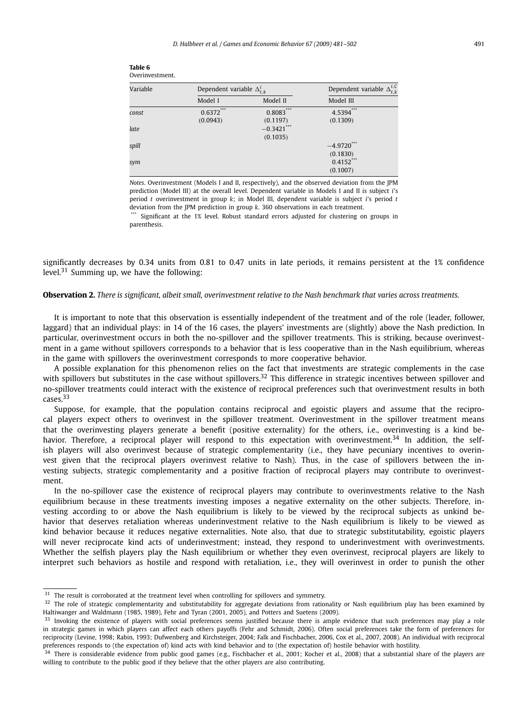| Variable | Dependent variable $\Delta_{t,k}^l$ |               | Dependent variable $\Delta_{t,k}^{i,C}$ |  |  |
|----------|-------------------------------------|---------------|-----------------------------------------|--|--|
|          | Model I                             | Model II      | Model III                               |  |  |
| const    | $0.6372***$                         | $0.8083***$   | 4.5394***                               |  |  |
|          | (0.0943)                            | (0.1197)      | (0.1309)                                |  |  |
| late     |                                     | $-0.3421$ *** |                                         |  |  |
|          |                                     | (0.1035)      |                                         |  |  |
| spill    |                                     |               | $-4.9720$ ***                           |  |  |
|          |                                     |               | (0.1830)                                |  |  |
| sym      |                                     |               | $0.4152***$                             |  |  |
|          |                                     |               | (0.1007)                                |  |  |

*Notes*. Overinvestment (Models I and II, respectively), and the observed deviation from the JPM prediction (Model III) at the overall level. Dependent variable in Models I and II is subject *i*'s period *t* overinvestment in group *k*; in Model III, dependent variable is subject *i*'s period *t* deviation from the JPM prediction in group *k*. 360 observations in each treatment.

\*\*\* Significant at the 1% level. Robust standard errors adjusted for clustering on groups in parenthesis.

significantly decreases by 0.34 units from 0.81 to 0.47 units in late periods, it remains persistent at the 1% confidence level.<sup>31</sup> Summing up, we have the following:

**Observation 2.** *There is significant, albeit small, overinvestment relative to the Nash benchmark that varies across treatments.*

It is important to note that this observation is essentially independent of the treatment and of the role (leader, follower, laggard) that an individual plays: in 14 of the 16 cases, the players' investments are (slightly) above the Nash prediction. In particular, overinvestment occurs in both the no-spillover and the spillover treatments. This is striking, because overinvestment in a game without spillovers corresponds to a behavior that is less cooperative than in the Nash equilibrium, whereas in the game with spillovers the overinvestment corresponds to more cooperative behavior.

A possible explanation for this phenomenon relies on the fact that investments are strategic complements in the case with spillovers but substitutes in the case without spillovers.<sup>32</sup> This difference in strategic incentives between spillover and no-spillover treatments could interact with the existence of reciprocal preferences such that overinvestment results in both cases.<sup>33</sup>

Suppose, for example, that the population contains reciprocal and egoistic players and assume that the reciprocal players expect others to overinvest in the spillover treatment. Overinvestment in the spillover treatment means that the overinvesting players generate a benefit (positive externality) for the others, i.e., overinvesting is a kind behavior. Therefore, a reciprocal player will respond to this expectation with overinvestment.<sup>34</sup> In addition, the selfish players will also overinvest because of strategic complementarity (i.e., they have pecuniary incentives to overinvest given that the reciprocal players overinvest relative to Nash). Thus, in the case of spillovers between the investing subjects, strategic complementarity and a positive fraction of reciprocal players may contribute to overinvestment.

In the no-spillover case the existence of reciprocal players may contribute to overinvestments relative to the Nash equilibrium because in these treatments investing imposes a negative externality on the other subjects. Therefore, investing according to or above the Nash equilibrium is likely to be viewed by the reciprocal subjects as unkind behavior that deserves retaliation whereas underinvestment relative to the Nash equilibrium is likely to be viewed as kind behavior because it reduces negative externalities. Note also, that due to strategic substitutability, egoistic players will never reciprocate kind acts of underinvestment; instead, they respond to underinvestment with overinvestments. Whether the selfish players play the Nash equilibrium or whether they even overinvest, reciprocal players are likely to interpret such behaviors as hostile and respond with retaliation, i.e., they will overinvest in order to punish the other

 $31$  The result is corroborated at the treatment level when controlling for spillovers and symmetry.

 $32$  The role of strategic complementarity and substitutability for aggregate deviations from rationality or Nash equilibrium play has been examined by Haltiwanger and Waldmann (1985, 1989), Fehr and Tyran (2001, 2005), and Potters and Suetens (2009).

<sup>&</sup>lt;sup>33</sup> Invoking the existence of players with social preferences seems justified because there is ample evidence that such preferences may play a role in strategic games in which players can affect each others payoffs (Fehr and Schmidt, 2006). Often social preferences take the form of preferences for reciprocity (Levine, 1998; Rabin, 1993; Dufwenberg and Kirchsteiger, 2004; Falk and Fischbacher, 2006, Cox et al., 2007, 2008). An individual with reciprocal preferences responds to (the expectation of) kind acts with kind behavior and to (the expectation of) hostile behavior with hostility.

<sup>&</sup>lt;sup>34</sup> There is considerable evidence from public good games (e.g., Fischbacher et al., 2001; Kocher et al., 2008) that a substantial share of the players are willing to contribute to the public good if they believe that the other players are also contributing.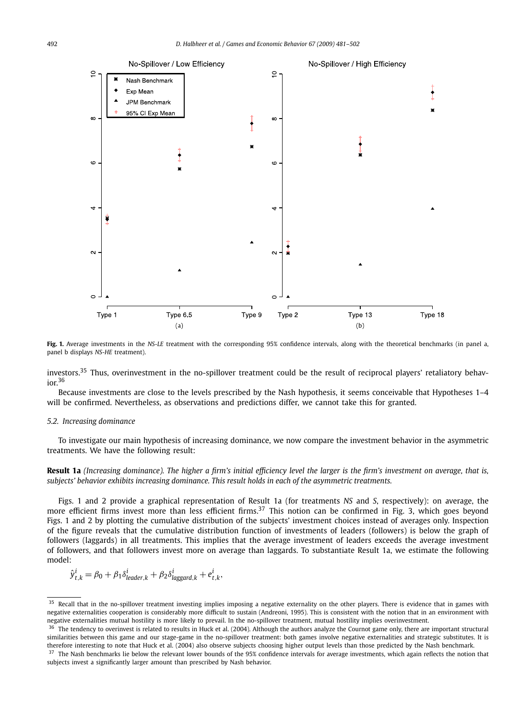

**Fig. 1.** Average investments in the *NS-LE* treatment with the corresponding 95% confidence intervals, along with the theoretical benchmarks (in panel a, panel b displays *NS-HE* treatment).

investors.<sup>35</sup> Thus, overinvestment in the no-spillover treatment could be the result of reciprocal players' retaliatory behavior.36

Because investments are close to the levels prescribed by the Nash hypothesis, it seems conceivable that Hypotheses 1–4 will be confirmed. Nevertheless, as observations and predictions differ, we cannot take this for granted.

#### *5.2. Increasing dominance*

To investigate our main hypothesis of increasing dominance, we now compare the investment behavior in the asymmetric treatments. We have the following result:

**Result 1a** *(Increasing dominance). The higher a firm's initial efficiency level the larger is the firm's investment on average, that is, subjects' behavior exhibits increasing dominance. This result holds in each of the asymmetric treatments.*

Figs. 1 and 2 provide a graphical representation of Result 1a (for treatments *NS* and *S*, respectively): on average, the more efficient firms invest more than less efficient firms.<sup>37</sup> This notion can be confirmed in Fig. 3, which goes beyond Figs. 1 and 2 by plotting the cumulative distribution of the subjects' investment choices instead of averages only. Inspection of the figure reveals that the cumulative distribution function of investments of leaders (followers) is below the graph of followers (laggards) in all treatments. This implies that the average investment of leaders exceeds the average investment of followers, and that followers invest more on average than laggards. To substantiate Result 1a, we estimate the following model:

$$
\hat{y}_{t,k}^i = \beta_0 + \beta_1 \delta_{\text{leader},k}^i + \beta_2 \delta_{\text{laggard},k}^i + e_{t,k}^i,
$$

Recall that in the no-spillover treatment investing implies imposing a negative externality on the other players. There is evidence that in games with negative externalities cooperation is considerably more difficult to sustain (Andreoni, 1995). This is consistent with the notion that in an environment with negative externalities mutual hostility is more likely to prevail. In the no-spillover treatment, mutual hostility implies overinvestment.

 $36$  The tendency to overinvest is related to results in Huck et al. (2004). Although the authors analyze the Cournot game only, there are important structural similarities between this game and our stage-game in the no-spillover treatment: both games involve negative externalities and strategic substitutes. It is therefore interesting to note that Huck et al. (2004) also observe subjects choosing higher output levels than those predicted by the Nash benchmark.

<sup>&</sup>lt;sup>37</sup> The Nash benchmarks lie below the relevant lower bounds of the 95% confidence intervals for average investments, which again reflects the notion that subjects invest a significantly larger amount than prescribed by Nash behavior.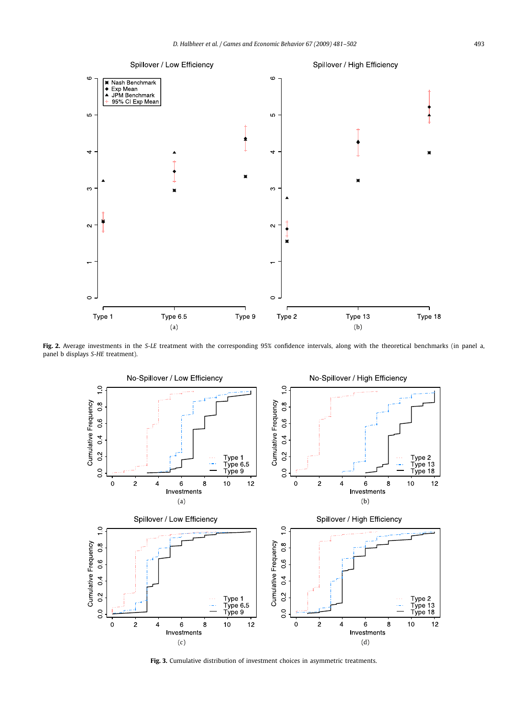

**Fig. 2.** Average investments in the *S-LE* treatment with the corresponding 95% confidence intervals, along with the theoretical benchmarks (in panel a, panel b displays *S-HE* treatment).



**Fig. 3.** Cumulative distribution of investment choices in asymmetric treatments.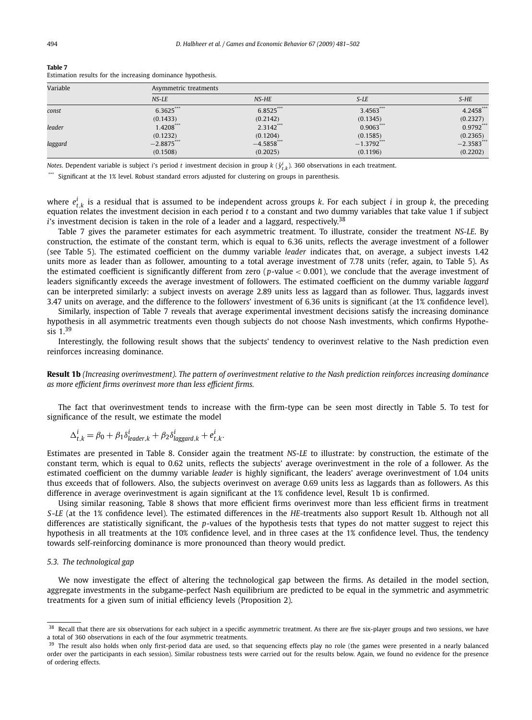| Variable |              | Asymmetric treatments |              |              |  |  |  |  |
|----------|--------------|-----------------------|--------------|--------------|--|--|--|--|
|          | $NS$ - $LE$  | NS-HE                 | S-LE         | $S$ -HE      |  |  |  |  |
| const    | 6.3625***    | $6.8525***$           | 3.4563***    | 4.2458***    |  |  |  |  |
|          | (0.1433)     | (0.2142)              | (0.1345)     | (0.2327)     |  |  |  |  |
| leader   | 1.4208***    | $2.3142$ ***          | $0.9063$ *** | $0.9792$ *** |  |  |  |  |
|          | (0.1232)     | (0.1204)              | (0.1585)     | (0.2365)     |  |  |  |  |
| laggard  | $-2.8875***$ | $-4.5858$ ***         | $-1.3792***$ | $-2.3583***$ |  |  |  |  |
|          | (0.1508)     | (0.2025)              | (0.1196)     | (0.2202)     |  |  |  |  |

**Table 7** Estimation results for the increasing dominance hypothesis.

*Notes*. Dependent variable is subject *<sup>i</sup>*'s period *<sup>t</sup>* investment decision in group *<sup>k</sup>* (*y*ˆ*<sup>i</sup> <sup>t</sup>,<sup>k</sup>* ). 360 observations in each treatment.

Significant at the 1% level. Robust standard errors adjusted for clustering on groups in parenthesis.

where  $e_{t,k}^i$  is a residual that is assumed to be independent across groups *k*. For each subject *i* in group *k*, the preceding equation relates the investment decision in each period *t* to a constant and two dummy variables that take value 1 if subject *i*'s investment decision is taken in the role of a leader and a laggard, respectively.<sup>38</sup>

Table 7 gives the parameter estimates for each asymmetric treatment. To illustrate, consider the treatment *NS-LE*. By construction, the estimate of the constant term, which is equal to 6.36 units, reflects the average investment of a follower (see Table 5). The estimated coefficient on the dummy variable *leader* indicates that, on average, a subject invests 1.42 units more as leader than as follower, amounting to a total average investment of 7.78 units (refer, again, to Table 5). As the estimated coefficient is significantly different from zero (*p*-value *<* 0*.*001), we conclude that the average investment of leaders significantly exceeds the average investment of followers. The estimated coefficient on the dummy variable *laggard* can be interpreted similarly: a subject invests on average 2.89 units less as laggard than as follower. Thus, laggards invest 3.47 units on average, and the difference to the followers' investment of 6.36 units is significant (at the 1% confidence level).

Similarly, inspection of Table 7 reveals that average experimental investment decisions satisfy the increasing dominance hypothesis in all asymmetric treatments even though subjects do not choose Nash investments, which confirms Hypothesis 1.<sup>39</sup>

Interestingly, the following result shows that the subjects' tendency to overinvest relative to the Nash prediction even reinforces increasing dominance.

**Result 1b** *(Increasing overinvestment). The pattern of overinvestment relative to the Nash prediction reinforces increasing dominance as more efficient firms overinvest more than less efficient firms.*

The fact that overinvestment tends to increase with the firm-type can be seen most directly in Table 5. To test for significance of the result, we estimate the model

$$
\Delta_{t,k}^i = \beta_0 + \beta_1 \delta_{\text{leader},k}^i + \beta_2 \delta_{\text{laggard},k}^i + e_{t,k}^i.
$$

Estimates are presented in Table 8. Consider again the treatment *NS*-*LE* to illustrate: by construction, the estimate of the constant term, which is equal to 0.62 units, reflects the subjects' average overinvestment in the role of a follower. As the estimated coefficient on the dummy variable *leader* is highly significant, the leaders' average overinvestment of 1.04 units thus exceeds that of followers. Also, the subjects overinvest on average 0.69 units less as laggards than as followers. As this difference in average overinvestment is again significant at the 1% confidence level, Result 1b is confirmed.

Using similar reasoning, Table 8 shows that more efficient firms overinvest more than less efficient firms in treatment *S*-*LE* (at the 1% confidence level). The estimated differences in the *HE*-treatments also support Result 1b. Although not all differences are statistically significant, the *p*-values of the hypothesis tests that types do not matter suggest to reject this hypothesis in all treatments at the 10% confidence level, and in three cases at the 1% confidence level. Thus, the tendency towards self-reinforcing dominance is more pronounced than theory would predict.

## *5.3. The technological gap*

We now investigate the effect of altering the technological gap between the firms. As detailed in the model section, aggregate investments in the subgame-perfect Nash equilibrium are predicted to be equal in the symmetric and asymmetric treatments for a given sum of initial efficiency levels (Proposition 2).

Recall that there are six observations for each subject in a specific asymmetric treatment. As there are five six-player groups and two sessions, we have a total of 360 observations in each of the four asymmetric treatments.

<sup>&</sup>lt;sup>39</sup> The result also holds when only first-period data are used, so that sequencing effects play no role (the games were presented in a nearly balanced order over the participants in each session). Similar robustness tests were carried out for the results below. Again, we found no evidence for the presence of ordering effects.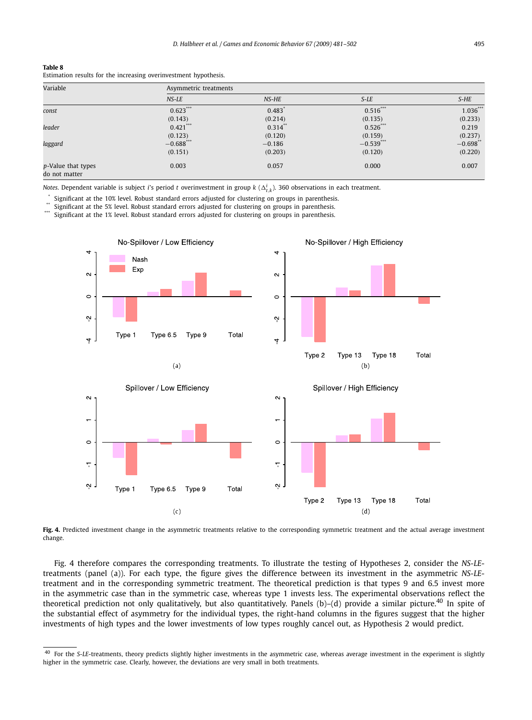Estimation results for the increasing overinvestment hypothesis.

| Variable                                    | Asymmetric treatments |                      |             |            |  |  |  |
|---------------------------------------------|-----------------------|----------------------|-------------|------------|--|--|--|
|                                             | $NS$ - $LE$           | NS-HE                | S-LE        | $S$ -HE    |  |  |  |
| const                                       | $0.623***$            | $0.483$ <sup>*</sup> | $0.516***$  | $1.036***$ |  |  |  |
|                                             | (0.143)               | (0.214)              | (0.135)     | (0.233)    |  |  |  |
| leader                                      | $0.421$ ***           | $0.314$ **           | 0.526       | 0.219      |  |  |  |
|                                             | (0.123)               | (0.120)              | (0.159)     | (0.237)    |  |  |  |
| laggard                                     | $-0.688$ ***          | $-0.186$             | $-0.539***$ | $-0.698$   |  |  |  |
|                                             | (0.151)               | (0.203)              | (0.120)     | (0.220)    |  |  |  |
| <i>p</i> -Value that types<br>do not matter | 0.003                 | 0.057                | 0.000       | 0.007      |  |  |  |

*Notes.* Dependent variable is subject *i*'s period *t* overinvestment in group *k* ( $\Delta_{t,k}^i$ ). 360 observations in each treatment.

Significant at the 10% level. Robust standard errors adjusted for clustering on groups in parenthesis.

\*\* Significant at the 5% level. Robust standard errors adjusted for clustering on groups in parenthesis.<br>\*\*\* Significant at the 1% level. Robust standard errors adjusted for clustering on groups in parenthesis. Significant at the 1% level. Robust standard errors adjusted for clustering on groups in parenthesis.



**Fig. 4.** Predicted investment change in the asymmetric treatments relative to the corresponding symmetric treatment and the actual average investment change.

Fig. 4 therefore compares the corresponding treatments. To illustrate the testing of Hypotheses 2, consider the *NS-LE*treatments (panel (a)). For each type, the figure gives the difference between its investment in the asymmetric *NS-LE*treatment and in the corresponding symmetric treatment. The theoretical prediction is that types 9 and 6.5 invest more in the asymmetric case than in the symmetric case, whereas type 1 invests less. The experimental observations reflect the theoretical prediction not only qualitatively, but also quantitatively. Panels (b)–(d) provide a similar picture.<sup>40</sup> In spite of the substantial effect of asymmetry for the individual types, the right-hand columns in the figures suggest that the higher investments of high types and the lower investments of low types roughly cancel out, as Hypothesis 2 would predict.

<sup>40</sup> For the *S-LE*-treatments, theory predicts slightly higher investments in the asymmetric case, whereas average investment in the experiment is slightly higher in the symmetric case. Clearly, however, the deviations are very small in both treatments.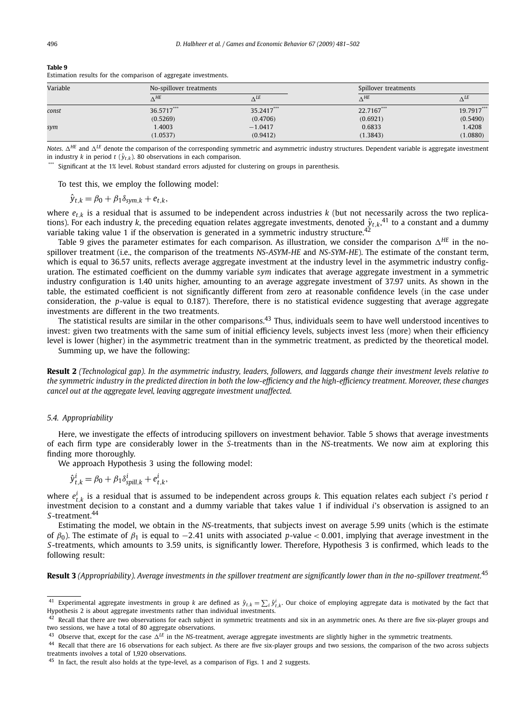| Variable | No-spillover treatments |            | Spillover treatments |                         |
|----------|-------------------------|------------|----------------------|-------------------------|
|          | $\wedge^{HE}$           | A LE       | $\wedge$ HE          | $\Lambda$ <sup>LC</sup> |
| const    | 36.5717***              | 35.2417*** | 22.7167***           | 19.7917***              |
|          | (0.5269)                | (0.4706)   | (0.6921)             | (0.5490)                |
| sym      | 1.4003                  | $-1.0417$  | 0.6833               | 1.4208                  |
|          | (1.0537)                | (0.9412)   | (1.3843)             | (1.0880)                |

Estimation results for the comparison of aggregate investments.

*Notes*.  $\Delta^{HE}$  and  $\Delta^{IE}$  denote the comparison of the corresponding symmetric and asymmetric industry structures. Dependent variable is aggregate investment in industry *k* in period  $t$  ( $\hat{y}_{t,k}$ ). 80 observations in each comparison.

Significant at the 1% level. Robust standard errors adjusted for clustering on groups in parenthesis.

To test this, we employ the following model:

$$
\hat{y}_{t,k} = \beta_0 + \beta_1 \delta_{sym,k} + e_{t,k},
$$

where  $e_{t,k}$  is a residual that is assumed to be independent across industries  $k$  (but not necessarily across the two replications). For each industry *k*, the preceding equation relates aggregate investments, denoted  $\hat{y}_{t,k}$ , <sup>41</sup> to a constant and a dummy variable taking value 1 if the observation is generated in a symmetric industry structure.<sup>42</sup>

Table 9 gives the parameter estimates for each comparison. As illustration, we consider the comparison  $\Delta^{HE}$  in the nospillover treatment (i.e., the comparison of the treatments *NS-ASYM-HE* and *NS-SYM-HE*). The estimate of the constant term, which is equal to 36.57 units, reflects average aggregate investment at the industry level in the asymmetric industry configuration. The estimated coefficient on the dummy variable *sym* indicates that average aggregate investment in a symmetric industry configuration is 1.40 units higher, amounting to an average aggregate investment of 37.97 units. As shown in the table, the estimated coefficient is not significantly different from zero at reasonable confidence levels (in the case under consideration, the *p*-value is equal to 0.187). Therefore, there is no statistical evidence suggesting that average aggregate investments are different in the two treatments.

The statistical results are similar in the other comparisons.<sup>43</sup> Thus, individuals seem to have well understood incentives to invest: given two treatments with the same sum of initial efficiency levels, subjects invest less (more) when their efficiency level is lower (higher) in the asymmetric treatment than in the symmetric treatment, as predicted by the theoretical model.

Summing up, we have the following:

**Result 2** *(Technological gap). In the asymmetric industry, leaders, followers, and laggards change their investment levels relative to the symmetric industry in the predicted direction in both the low-efficiency and the high-efficiency treatment. Moreover, these changes cancel out at the aggregate level, leaving aggregate investment unaffected.*

#### *5.4. Appropriability*

Here, we investigate the effects of introducing spillovers on investment behavior. Table 5 shows that average investments of each firm type are considerably lower in the *S*-treatments than in the *NS*-treatments. We now aim at exploring this finding more thoroughly.

We approach Hypothesis 3 using the following model:

$$
\hat{y}_{t,k}^i = \beta_0 + \beta_1 \delta_{\text{spill},k}^i + e_{t,k}^i,
$$

where  $e_{t,k}^i$  is a residual that is assumed to be independent across groups  $k$ . This equation relates each subject *i*'s period *t* investment decision to a constant and a dummy variable that takes value 1 if individual *i*'s observation is assigned to an *S*-treatment.<sup>44</sup>

Estimating the model, we obtain in the *NS*-treatments, that subjects invest on average 5.99 units (which is the estimate of *β*0). The estimate of *β*<sup>1</sup> is equal to −2*.*41 units with associated *p*-value *<* 0*.*001, implying that average investment in the *S*-treatments, which amounts to 3.59 units, is significantly lower. Therefore, Hypothesis 3 is confirmed, which leads to the following result:

**Result 3** *(Appropriability). Average investments in the spillover treatment are significantly lower than in the no-spillover treatment.*<sup>45</sup>

<sup>&</sup>lt;sup>41</sup> Experimental aggregate investments in group k are defined as  $\hat{y}_{t,k} = \sum_i \hat{y}_{t,k}^i$ . Our choice of employing aggregate data is motivated by the fact that Hypothesis 2 is about aggregate investments rather than individual investments.

 $42$  Recall that there are two observations for each subject in symmetric treatments and six in an asymmetric ones. As there are five six-player groups and two sessions, we have a total of 80 aggregate observations.

<sup>&</sup>lt;sup>43</sup> Observe that, except for the case  $\Delta^{LE}$  in the *NS*-treatment, average aggregate investments are slightly higher in the symmetric treatments.

<sup>44</sup> Recall that there are 16 observations for each subject. As there are five six-player groups and two sessions, the comparison of the two across subjects treatments involves a total of 1,920 observations.

<sup>&</sup>lt;sup>45</sup> In fact, the result also holds at the type-level, as a comparison of Figs. 1 and 2 suggests.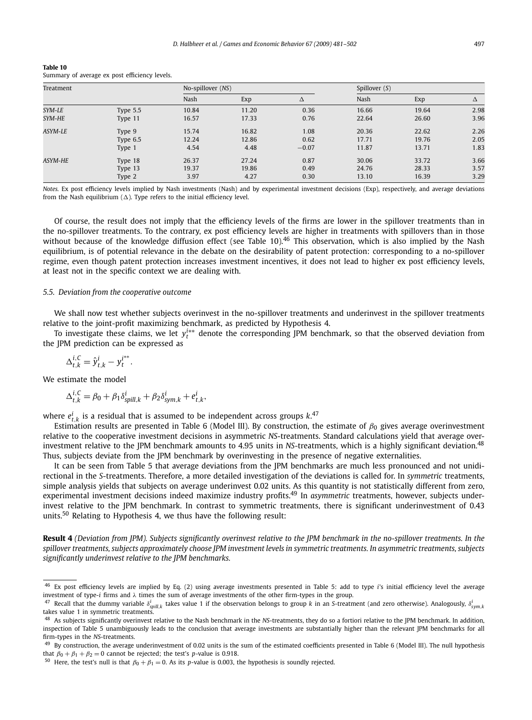| Table 10                                      |  |  |
|-----------------------------------------------|--|--|
| Summary of average ex post efficiency levels. |  |  |

| Treatment      |            | No-spillover (NS) |       |         | Spillover $(S)$ |       |      |
|----------------|------------|-------------------|-------|---------|-----------------|-------|------|
|                |            | Nash              | Exp   | Δ       | Nash            | Exp   | Δ    |
| SYM-LE         | Type $5.5$ | 10.84             | 11.20 | 0.36    | 16.66           | 19.64 | 2.98 |
| SYM-HE         | Type 11    | 16.57             | 17.33 | 0.76    | 22.64           | 26.60 | 3.96 |
| ASYM-LE        | Type 9     | 15.74             | 16.82 | 1.08    | 20.36           | 22.62 | 2.26 |
|                | Type $6.5$ | 12.24             | 12.86 | 0.62    | 17.71           | 19.76 | 2.05 |
|                | Type 1     | 4.54              | 4.48  | $-0.07$ | 11.87           | 13.71 | 1.83 |
| <b>ASYM-HE</b> | Type 18    | 26.37             | 27.24 | 0.87    | 30.06           | 33.72 | 3.66 |
|                | Type 13    | 19.37             | 19.86 | 0.49    | 24.76           | 28.33 | 3.57 |
|                | Type 2     | 3.97              | 4.27  | 0.30    | 13.10           | 16.39 | 3.29 |

*Notes.* Ex post efficiency levels implied by Nash investments (Nash) and by experimental investment decisions (Exp), respectively, and average deviations from the Nash equilibrium  $(\Delta)$ . Type refers to the initial efficiency level.

Of course, the result does not imply that the efficiency levels of the firms are lower in the spillover treatments than in the no-spillover treatments. To the contrary, ex post efficiency levels are higher in treatments with spillovers than in those without because of the knowledge diffusion effect (see Table 10).<sup>46</sup> This observation, which is also implied by the Nash equilibrium, is of potential relevance in the debate on the desirability of patent protection: corresponding to a no-spillover regime, even though patent protection increases investment incentives, it does not lead to higher ex post efficiency levels, at least not in the specific context we are dealing with.

#### *5.5. Deviation from the cooperative outcome*

We shall now test whether subjects overinvest in the no-spillover treatments and underinvest in the spillover treatments relative to the joint-profit maximizing benchmark, as predicted by Hypothesis 4.

To investigate these claims, we let *yi*∗∗ *<sup>t</sup>* denote the corresponding JPM benchmark, so that the observed deviation from the JPM prediction can be expressed as

$$
\Delta_{t,k}^{i,C} = \hat{y}_{t,k}^i - y_t^{i^{**}}.
$$

We estimate the model

$$
\Delta_{t,k}^{i,C} = \beta_0 + \beta_1 \delta_{spill,k}^i + \beta_2 \delta_{sym,k}^i + e_{t,k}^i,
$$

where  $e_{t,k}^i$  is a residual that is assumed to be independent across groups  $k$ .<sup>47</sup>

Estimation results are presented in Table 6 (Model III). By construction, the estimate of  $\beta_0$  gives average overinvestment relative to the cooperative investment decisions in asymmetric *NS*-treatments. Standard calculations yield that average overinvestment relative to the JPM benchmark amounts to 4.95 units in *NS*-treatments, which is a highly significant deviation.<sup>48</sup> Thus, subjects deviate from the JPM benchmark by overinvesting in the presence of negative externalities.

It can be seen from Table 5 that average deviations from the JPM benchmarks are much less pronounced and not unidirectional in the *S*-treatments. Therefore, a more detailed investigation of the deviations is called for. In *symmetric* treatments, simple analysis yields that subjects on average underinvest 0.02 units. As this quantity is not statistically different from zero, experimental investment decisions indeed maximize industry profits.<sup>49</sup> In *asymmetric* treatments, however, subjects underinvest relative to the JPM benchmark. In contrast to symmetric treatments, there is significant underinvestment of 0.43 units.50 Relating to Hypothesis 4, we thus have the following result:

**Result 4** *(Deviation from JPM). Subjects significantly overinvest relative to the JPM benchmark in the no-spillover treatments. In the spillover treatments, subjects approximately choose JPM investment levels in symmetric treatments. In asymmetric treatments, subjects significantly underinvest relative to the JPM benchmarks.*

<sup>46</sup> Ex post efficiency levels are implied by Eq. (2) using average investments presented in Table 5: add to type *i*'s initial efficiency level the average investment of type-*i* firms and *λ* times the sum of average investments of the other firm-types in the group.

 $^{47}$  Recall that the dummy variable  $\delta^i_{split,k}$  takes value 1 if the observation belongs to group  $k$  in an S-treatment (and zero otherwise). Analogously,  $\delta^i_{sym,k}$ takes value 1 in symmetric treatments.

<sup>48</sup> As subjects significantly overinvest relative to the Nash benchmark in the *NS*-treatments, they do so a fortiori relative to the JPM benchmark. In addition, inspection of Table 5 unambiguously leads to the conclusion that average investments are substantially higher than the relevant JPM benchmarks for all firm-types in the *NS*-treatments.

<sup>&</sup>lt;sup>49</sup> By construction, the average underinvestment of 0.02 units is the sum of the estimated coefficients presented in Table 6 (Model III). The null hypothesis that  $\beta_0 + \beta_1 + \beta_2 = 0$  cannot be rejected; the test's *p*-value is 0.918.

<sup>&</sup>lt;sup>50</sup> Here, the test's null is that  $\beta_0 + \beta_1 = 0$ . As its *p*-value is 0.003, the hypothesis is soundly rejected.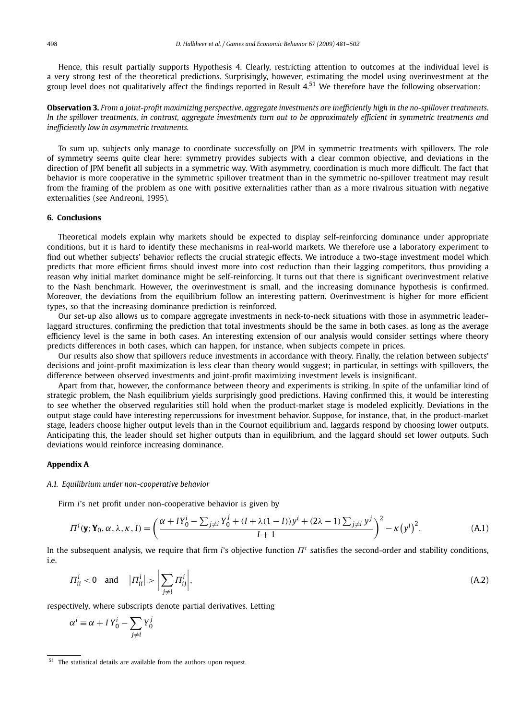Hence, this result partially supports Hypothesis 4. Clearly, restricting attention to outcomes at the individual level is a very strong test of the theoretical predictions. Surprisingly, however, estimating the model using overinvestment at the group level does not qualitatively affect the findings reported in Result  $4.51$  We therefore have the following observation:

**Observation 3.** *From a joint-profit maximizing perspective, aggregate investments are inefficiently high in the no-spillover treatments. In the spillover treatments, in contrast, aggregate investments turn out to be approximately efficient in symmetric treatments and inefficiently low in asymmetric treatments.*

To sum up, subjects only manage to coordinate successfully on JPM in symmetric treatments with spillovers. The role of symmetry seems quite clear here: symmetry provides subjects with a clear common objective, and deviations in the direction of JPM benefit all subjects in a symmetric way. With asymmetry, coordination is much more difficult. The fact that behavior is more cooperative in the symmetric spillover treatment than in the symmetric no-spillover treatment may result from the framing of the problem as one with positive externalities rather than as a more rivalrous situation with negative externalities (see Andreoni, 1995).

# **6. Conclusions**

Theoretical models explain why markets should be expected to display self-reinforcing dominance under appropriate conditions, but it is hard to identify these mechanisms in real-world markets. We therefore use a laboratory experiment to find out whether subjects' behavior reflects the crucial strategic effects. We introduce a two-stage investment model which predicts that more efficient firms should invest more into cost reduction than their lagging competitors, thus providing a reason why initial market dominance might be self-reinforcing. It turns out that there is significant overinvestment relative to the Nash benchmark. However, the overinvestment is small, and the increasing dominance hypothesis is confirmed. Moreover, the deviations from the equilibrium follow an interesting pattern. Overinvestment is higher for more efficient types, so that the increasing dominance prediction is reinforced.

Our set-up also allows us to compare aggregate investments in neck-to-neck situations with those in asymmetric leader– laggard structures, confirming the prediction that total investments should be the same in both cases, as long as the average efficiency level is the same in both cases. An interesting extension of our analysis would consider settings where theory predicts differences in both cases, which can happen, for instance, when subjects compete in prices.

Our results also show that spillovers reduce investments in accordance with theory. Finally, the relation between subjects' decisions and joint-profit maximization is less clear than theory would suggest; in particular, in settings with spillovers, the difference between observed investments and joint-profit maximizing investment levels is insignificant.

Apart from that, however, the conformance between theory and experiments is striking. In spite of the unfamiliar kind of strategic problem, the Nash equilibrium yields surprisingly good predictions. Having confirmed this, it would be interesting to see whether the observed regularities still hold when the product-market stage is modeled explicitly. Deviations in the output stage could have interesting repercussions for investment behavior. Suppose, for instance, that, in the product-market stage, leaders choose higher output levels than in the Cournot equilibrium and, laggards respond by choosing lower outputs. Anticipating this, the leader should set higher outputs than in equilibrium, and the laggard should set lower outputs. Such deviations would reinforce increasing dominance.

#### **Appendix A**

#### *A.1. Equilibrium under non-cooperative behavior*

Firm *i*'s net profit under non-cooperative behavior is given by

$$
\Pi^{i}(\mathbf{y}; \mathbf{Y}_{0}, \alpha, \lambda, \kappa, I) = \left(\frac{\alpha + IY_{0}^{i} - \sum_{j \neq i} Y_{0}^{j} + (I + \lambda(1 - I))Y^{i} + (2\lambda - 1)\sum_{j \neq i} Y^{j}}{I + 1}\right)^{2} - \kappa (y^{i})^{2}.
$$
\n(A.1)

In the subsequent analysis, we require that firm *i*'s objective function *Π<sup>i</sup>* satisfies the second-order and stability conditions, i.e.

$$
\Pi_{ii}^i < 0 \quad \text{and} \quad \left| \Pi_{ii}^i \right| > \left| \sum_{j \neq i} \Pi_{ij}^i \right|,\tag{A.2}
$$

respectively, where subscripts denote partial derivatives. Letting

$$
\alpha^i \equiv \alpha + I Y_0^i - \sum_{j \neq i} Y_0^j
$$

<sup>51</sup> The statistical details are available from the authors upon request.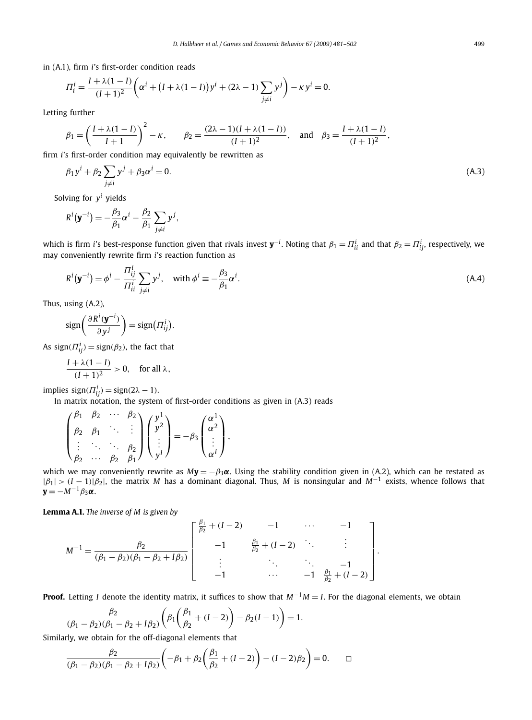in (A.1), firm *i*'s first-order condition reads

$$
\Pi_i^i = \frac{I + \lambda(1 - I)}{(I + 1)^2} \left( \alpha^i + (I + \lambda(1 - I))y^i + (2\lambda - 1) \sum_{j \neq i} y^j \right) - \kappa y^i = 0.
$$

Letting further

$$
\beta_1 = \left(\frac{I + \lambda(1 - I)}{I + 1}\right)^2 - \kappa, \qquad \beta_2 = \frac{(2\lambda - 1)(I + \lambda(1 - I))}{(I + 1)^2}, \quad \text{and} \quad \beta_3 = \frac{I + \lambda(1 - I)}{(I + 1)^2},
$$

firm *i*'s first-order condition may equivalently be rewritten as

$$
\beta_1 y^i + \beta_2 \sum_{j \neq i} y^j + \beta_3 \alpha^i = 0. \tag{A.3}
$$

Solving for *y<sup>i</sup>* yields

$$
R^i(\mathbf{y}^{-i}) = -\frac{\beta_3}{\beta_1}\alpha^i - \frac{\beta_2}{\beta_1}\sum_{j\neq i}y^j,
$$

which is firm *i*'s best-response function given that rivals invest **y**−*<sup>i</sup>* . Noting that *β*<sup>1</sup> = *Π<sup>i</sup> ii* and that *β*<sup>2</sup> = *Π<sup>i</sup> ij*, respectively, we may conveniently rewrite firm *i*'s reaction function as

$$
R^{i}(\mathbf{y}^{-i}) = \phi^{i} - \frac{\Pi_{ij}^{i}}{\Pi_{ii}^{i}} \sum_{j \neq i} y^{j}, \quad \text{with } \phi^{i} \equiv -\frac{\beta_{3}}{\beta_{1}} \alpha^{i}.
$$
\n(A.4)

Thus, using (A.2),

$$
\operatorname{sign}\left(\frac{\partial R^i(\mathbf{y}^{-i})}{\partial y^j}\right) = \operatorname{sign}(H_{ij}^i).
$$

 $\textsf{As} \, \, \textsf{sign}(\Pi^i_{ij}) = \textsf{sign}(\beta_2), \, \text{the} \, \, \textsf{fact} \, \, \textsf{that}$ 

$$
\frac{I + \lambda(1 - I)}{(I + 1)^2} > 0, \quad \text{for all } \lambda,
$$

 $\text{implies sign}(H_{ij}^i) = \text{sign}(2\lambda - 1).$ 

In matrix notation, the system of first-order conditions as given in (A.3) reads

$$
\begin{pmatrix}\n\beta_1 & \beta_2 & \cdots & \beta_2 \\
\beta_2 & \beta_1 & \ddots & \vdots \\
\vdots & \ddots & \ddots & \beta_2 \\
\beta_2 & \cdots & \beta_2 & \beta_1\n\end{pmatrix}\n\begin{pmatrix}\ny^1 \\
y^2 \\
\vdots \\
y^l\n\end{pmatrix} = -\beta_3 \begin{pmatrix}\n\alpha^1 \\
\alpha^2 \\
\vdots \\
\alpha^l\n\end{pmatrix},
$$

which we may conveniently rewrite as  $M**y** = -\beta_3 \alpha$ . Using the stability condition given in (A.2), which can be restated as |*β*1| *> (<sup>I</sup>* − <sup>1</sup>*)*|*β*2|, the matrix *<sup>M</sup>* has a dominant diagonal. Thus, *<sup>M</sup>* is nonsingular and *<sup>M</sup>*−<sup>1</sup> exists, whence follows that  $y = -M^{-1}\beta_3\alpha$ .

**Lemma A.1.** *The inverse of M is given by*

$$
M^{-1} = \frac{\beta_2}{(\beta_1 - \beta_2)(\beta_1 - \beta_2 + I\beta_2)} \begin{bmatrix} \frac{\beta_1}{\beta_2} + (I - 2) & -1 & \cdots & -1 \\ -1 & \frac{\beta_1}{\beta_2} + (I - 2) & \ddots & \vdots \\ \vdots & \ddots & \ddots & -1 \\ -1 & \cdots & -1 & \frac{\beta_1}{\beta_2} + (I - 2) \end{bmatrix}.
$$

**Proof.** Letting *I* denote the identity matrix, it suffices to show that  $M^{-1}M = I$ . For the diagonal elements, we obtain

$$
\frac{\beta_2}{(\beta_1 - \beta_2)(\beta_1 - \beta_2 + I\beta_2)} \left(\beta_1 \left(\frac{\beta_1}{\beta_2} + (I - 2)\right) - \beta_2 (I - 1)\right) = 1.
$$

Similarly, we obtain for the off-diagonal elements that

$$
\frac{\beta_2}{(\beta_1 - \beta_2)(\beta_1 - \beta_2 + I\beta_2)} \left( -\beta_1 + \beta_2 \left( \frac{\beta_1}{\beta_2} + (I - 2) \right) - (I - 2)\beta_2 \right) = 0. \quad \Box
$$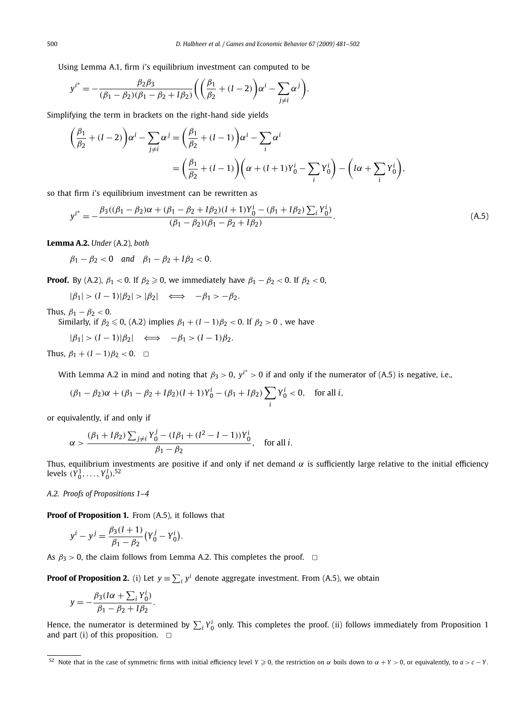*.*

Using Lemma A.1, firm *i*'s equilibrium investment can computed to be

$$
y^{i^*} = -\frac{\beta_2 \beta_3}{(\beta_1 - \beta_2)(\beta_1 - \beta_2 + I\beta_2)} \left( \left( \frac{\beta_1}{\beta_2} + (I - 2) \right) \alpha^i - \sum_{j \neq i} \alpha^j \right)
$$

Simplifying the term in brackets on the right-hand side yields

$$
\left(\frac{\beta_1}{\beta_2} + (I - 2)\right)\alpha^i - \sum_{j \neq i} \alpha^j = \left(\frac{\beta_1}{\beta_2} + (I - 1)\right)\alpha^i - \sum_i \alpha^i
$$

$$
= \left(\frac{\beta_1}{\beta_2} + (I - 1)\right)\left(\alpha + (I + 1)Y_0^i - \sum_i Y_0^i\right) - \left(I\alpha + \sum_i Y_0^i\right),
$$

so that firm *i*'s equilibrium investment can be rewritten as

$$
y^{i^*} = -\frac{\beta_3((\beta_1 - \beta_2)\alpha + (\beta_1 - \beta_2 + I\beta_2)(I + 1)Y_0^i - (\beta_1 + I\beta_2)\sum_i Y_0^i)}{(\beta_1 - \beta_2)(\beta_1 - \beta_2 + I\beta_2)}.
$$
 (A.5)

**Lemma A.2.** *Under* (A.2)*, both*

 $\beta_1 - \beta_2 < 0$  *and*  $\beta_1 - \beta_2 + I\beta_2 < 0$ *.* 

**Proof.** By (A.2),  $\beta_1 < 0$ . If  $\beta_2 \ge 0$ , we immediately have  $\beta_1 - \beta_2 < 0$ . If  $\beta_2 < 0$ ,

 $|\beta_1| > (I-1)|\beta_2| > |\beta_2| \iff -\beta_1 > -\beta_2.$ 

Thus,  $\beta_1 - \beta_2 < 0$ .

Similarly, if  $\beta_2 \leq 0$ , (A.2) implies  $\beta_1 + (I - 1)\beta_2 < 0$ . If  $\beta_2 > 0$ , we have

$$
|\beta_1| > (I-1)|\beta_2| \iff -\beta_1 > (I-1)\beta_2.
$$

Thus,  $\beta_1 + (I - 1)\beta_2 < 0$ . □

With Lemma A.2 in mind and noting that  $\beta_3 > 0$ ,  $y^{i^*} > 0$  if and only if the numerator of (A.5) is negative, i.e.,

$$
(\beta_1 - \beta_2)\alpha + (\beta_1 - \beta_2 + I\beta_2)(I + 1)Y_0^i - (\beta_1 + I\beta_2) \sum_i Y_0^i < 0, \quad \text{for all } i,
$$

or equivalently, if and only if

$$
\alpha > \frac{(\beta_1 + I\beta_2) \sum_{j \neq i} Y_0^j - (I\beta_1 + (I^2 - I - 1))Y_0^i}{\beta_1 - \beta_2}, \quad \text{for all } i.
$$

Thus, equilibrium investments are positive if and only if net demand  $\alpha$  is sufficiently large relative to the initial efficiency levels  $(Y_0^1, \ldots, Y_0^l)$ .<sup>52</sup>

*A.2. Proofs of Propositions 1–4*

**Proof of Proposition 1.** From (A.5), it follows that

$$
y^{i} - y^{j} = \frac{\beta_3 (I+1)}{\beta_1 - \beta_2} (Y_0^{j} - Y_0^{i}).
$$

As  $\beta_3 > 0$ , the claim follows from Lemma A.2. This completes the proof.  $\Box$ 

**Proof of Proposition 2.** (i) Let  $y \equiv \sum_i y^i$  denote aggregate investment. From (A.5), we obtain

$$
y = -\frac{\beta_3 (I\alpha + \sum_i Y_0^i)}{\beta_1 - \beta_2 + I\beta_2}.
$$

Hence, the numerator is determined by  $\sum_i Y_0^i$  only. This completes the proof. (ii) follows immediately from Proposition 1 and part (i) of this proposition.  $\Box$ 

<sup>52</sup> Note that in the case of symmetric firms with initial efficiency level  $Y \ge 0$ , the restriction on *α* boils down to *α* + *Y* > 0, or equivalently, to *α* > *c* − *Y*.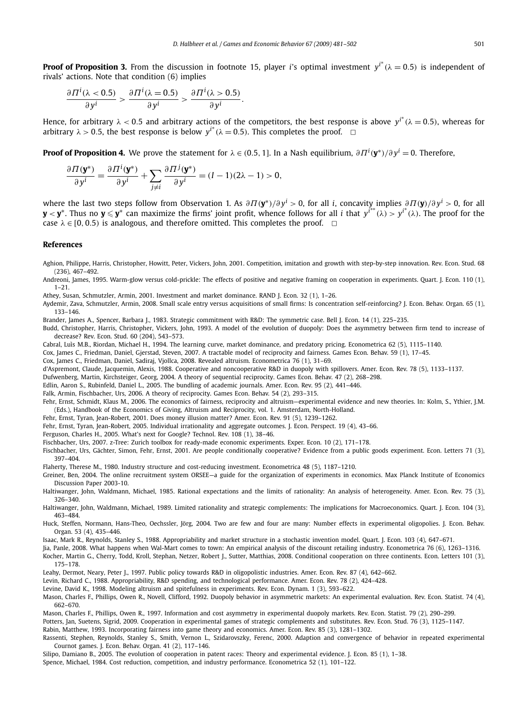**Proof of Proposition 3.** From the discussion in footnote 15, player *i*'s optimal investment  $y^{i^*} (\lambda = 0.5)$  is independent of rivals' actions. Note that condition (6) implies

$$
\frac{\partial \Pi^i(\lambda < 0.5)}{\partial y^i} > \frac{\partial \Pi^i(\lambda = 0.5)}{\partial y^i} > \frac{\partial \Pi^i(\lambda > 0.5)}{\partial y^i}.
$$

Hence, for arbitrary  $\lambda < 0.5$  and arbitrary actions of the competitors, the best response is above  $y^{i^*}(\lambda = 0.5)$ , whereas for arbitrary  $\lambda > 0.5$ , the best response is below  $y^{i^*}(\lambda = 0.5)$ . This completes the proof.  $\Box$ 

**Proof of Proposition 4.** We prove the statement for *λ* ∈ *(*0*.*5*,* <sup>1</sup>]. In a Nash equilibrium, *∂Π<sup>i</sup> (***y**∗*)/∂ <sup>y</sup><sup>i</sup>* = 0. Therefore,

$$
\frac{\partial \Pi(\mathbf{y}^*)}{\partial y^i} = \frac{\partial \Pi^i(\mathbf{y}^*)}{\partial y^i} + \sum_{j \neq i} \frac{\partial \Pi^j(\mathbf{y}^*)}{\partial y^i} = (I - 1)(2\lambda - 1) > 0,
$$

where the last two steps follow from Observation 1. As  $\frac{\partial \Pi(\mathbf{y}^*)}{\partial y^i} > 0$ , for all *i*, concavity implies  $\frac{\partial \Pi(\mathbf{y})}{\partial y^i} > 0$ , for all  ${\bf y} <$  **y** $^*$  . Thus no  ${\bf y} \leqslant$  **y** $^*$  can maximize the firms' joint profit, whence follows for all  $i$  that  $y^{i^{**}}(\lambda) > y^{i^*}(\lambda)$ . The proof for the case  $\lambda \in [0, 0.5)$  is analogous, and therefore omitted. This completes the proof.  $\Box$ 

#### **References**

- Aghion, Philippe, Harris, Christopher, Howitt, Peter, Vickers, John, 2001. Competition, imitation and growth with step-by-step innovation. Rev. Econ. Stud. 68 (236), 467–492.
- Andreoni, James, 1995. Warm-glow versus cold-prickle: The effects of positive and negative framing on cooperation in experiments. Quart. J. Econ. 110 (1), 1–21.
- Athey, Susan, Schmutzler, Armin, 2001. Investment and market dominance. RAND J. Econ. 32 (1), 1–26.
- Aydemir, Zava, Schmutzler, Armin, 2008. Small scale entry versus acquisitions of small firms: Is concentration self-reinforcing? J. Econ. Behav. Organ. 65 (1), 133–146.
- Brander, James A., Spencer, Barbara J., 1983. Strategic commitment with R&D: The symmetric case. Bell J. Econ. 14 (1), 225–235.
- Budd, Christopher, Harris, Christopher, Vickers, John, 1993. A model of the evolution of duopoly: Does the asymmetry between firm tend to increase of decrease? Rev. Econ. Stud. 60 (204), 543–573.
- Cabral, Luìs M.B., Riordan, Michael H., 1994. The learning curve, market dominance, and predatory pricing. Econometrica 62 (5), 1115–1140.
- Cox, James C., Friedman, Daniel, Gjerstad, Steven, 2007. A tractable model of reciprocity and fairness. Games Econ. Behav. 59 (1), 17–45.
- Cox, James C., Friedman, Daniel, Sadiraj, Vjollca, 2008. Revealed altruism. Econometrica 76 (1), 31–69.
- d'Aspremont, Claude, Jacquemin, Alexis, 1988. Cooperative and noncooperative R&D in duopoly with spillovers. Amer. Econ. Rev. 78 (5), 1133–1137.
- Dufwenberg, Martin, Kirchsteiger, Georg, 2004. A theory of sequential reciprocity. Games Econ. Behav. 47 (2), 268–298.
- Edlin, Aaron S., Rubinfeld, Daniel L., 2005. The bundling of academic journals. Amer. Econ. Rev. 95 (2), 441–446.

Falk, Armin, Fischbacher, Urs, 2006. A theory of reciprocity. Games Econ. Behav. 54 (2), 293–315.

Fehr, Ernst, Schmidt, Klaus M., 2006. The economics of fairness, reciprocity and altruism—experimental evidence and new theories. In: Kolm, S., Ythier, J.M. (Eds.), Handbook of the Economics of Giving, Altruism and Reciprocity, vol. 1. Amsterdam, North-Holland.

Fehr, Ernst, Tyran, Jean-Robert, 2001. Does money illusion matter? Amer. Econ. Rev. 91 (5), 1239–1262.

Fehr, Ernst, Tyran, Jean-Robert, 2005. Individual irrationality and aggregate outcomes. J. Econ. Perspect. 19 (4), 43–66.

Ferguson, Charles H., 2005. What's next for Google? Technol. Rev. 108 (1), 38–46.

Fischbacher, Urs, 2007. z-Tree: Zurich toolbox for ready-made economic experiments. Exper. Econ. 10 (2), 171–178.

- Fischbacher, Urs, Gächter, Simon, Fehr, Ernst, 2001. Are people conditionally cooperative? Evidence from a public goods experiment. Econ. Letters 71 (3), 397–404.
- Flaherty, Therese M., 1980. Industry structure and cost-reducing investment. Econometrica 48 (5), 1187–1210.
- Greiner, Ben, 2004. The online recruitment system ORSEE—a guide for the organization of experiments in economics. Max Planck Institute of Economics Discussion Paper 2003-10.
- Haltiwanger, John, Waldmann, Michael, 1985. Rational expectations and the limits of rationality: An analysis of heterogeneity. Amer. Econ. Rev. 75 (3), 326–340.
- Haltiwanger, John, Waldmann, Michael, 1989. Limited rationality and strategic complements: The implications for Macroeconomics. Quart. J. Econ. 104 (3), 463–484.
- Huck, Steffen, Normann, Hans-Theo, Oechssler, Jörg, 2004. Two are few and four are many: Number effects in experimental oligopolies. J. Econ. Behav. Organ. 53 (4), 435–446.

Isaac, Mark R., Reynolds, Stanley S., 1988. Appropriability and market structure in a stochastic invention model. Quart. J. Econ. 103 (4), 647–671.

- Jia, Panle, 2008. What happens when Wal-Mart comes to town: An empirical analysis of the discount retailing industry. Econometrica 76 (6), 1263–1316.
- Kocher, Martin G., Cherry, Todd, Kroll, Stephan, Netzer, Robert J., Sutter, Matthias, 2008. Conditional cooperation on three continents. Econ. Letters 101 (3), 175–178.
- Leahy, Dermot, Neary, Peter J., 1997. Public policy towards R&D in oligopolistic industries. Amer. Econ. Rev. 87 (4), 642–662.
- Levin, Richard C., 1988. Appropriability, R&D spending, and technological performance. Amer. Econ. Rev. 78 (2), 424–428.

Levine, David K., 1998. Modeling altruism and spitefulness in experiments. Rev. Econ. Dynam. 1 (3), 593–622.

Mason, Charles F., Phillips, Owen R., Novell, Clifford, 1992. Duopoly behavior in asymmetric markets: An experimental evaluation. Rev. Econ. Statist. 74 (4), 662–670.

Mason, Charles F., Phillips, Owen R., 1997. Information and cost asymmetry in experimental duopoly markets. Rev. Econ. Statist. 79 (2), 290–299.

Potters, Jan, Suetens, Sigrid, 2009. Cooperation in experimental games of strategic complements and substitutes. Rev. Econ. Stud. 76 (3), 1125–1147. Rabin, Matthew, 1993. Incorporating fairness into game theory and economics. Amer. Econ. Rev. 85 (3), 1281–1302.

Rassenti, Stephen, Reynolds, Stanley S., Smith, Vernon L., Szidarovszky, Ferenc, 2000. Adaption and convergence of behavior in repeated experimental Cournot games. J. Econ. Behav. Organ. 41 (2), 117–146.

Silipo, Damiano B., 2005. The evolution of cooperation in patent races: Theory and experimental evidence. J. Econ. 85 (1), 1–38. Spence, Michael, 1984. Cost reduction, competition, and industry performance. Econometrica 52 (1), 101–122.